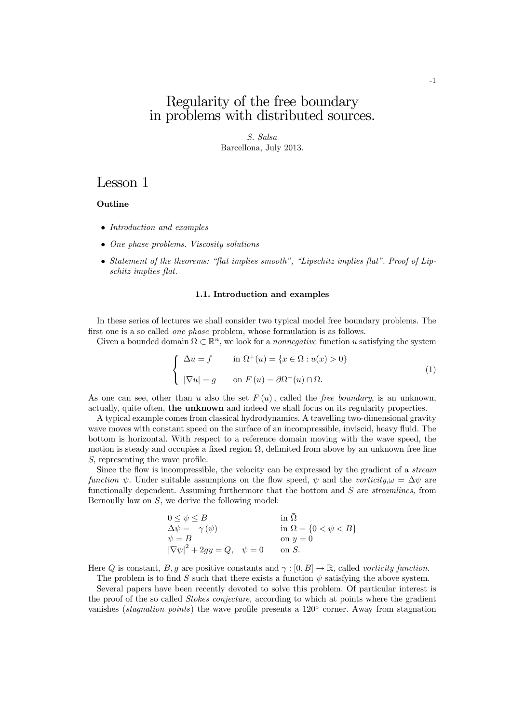## Regularity of the free boundary in problems with distributed sources.

S. Salsa Barcellona, July 2013.

## Lesson 1

## **Outline**

- Introduction and examples
- One phase problems. Viscosity solutions
- Statement of the theorems: "flat implies smooth", "Lipschitz implies flat". Proof of Lipschitz implies flat.

#### 1.1. Introduction and examples

In these series of lectures we shall consider two typical model free boundary problems. The first one is a so called one phase problem, whose formulation is as follows.

Given a bounded domain  $\Omega \subset \mathbb{R}^n$ , we look for a *nonnegative* function u satisfying the system

$$
\begin{cases}\n\Delta u = f & \text{in } \Omega^+(u) = \{x \in \Omega : u(x) > 0\} \\
|\nabla u| = g & \text{on } F(u) = \partial \Omega^+(u) \cap \Omega.\n\end{cases}
$$
\n(1)

As one can see, other than u also the set  $F(u)$ , called the free boundary, is an unknown, actually, quite often, the unknown and indeed we shall focus on its regularity properties.

A typical example comes from classical hydrodynamics. A travelling two-dimensional gravity wave moves with constant speed on the surface of an incompressible, inviscid, heavy fluid. The bottom is horizontal. With respect to a reference domain moving with the wave speed, the motion is steady and occupies a fixed region  $\Omega$ , delimited from above by an unknown free line S, representing the wave profile.

Since the flow is incompressible, the velocity can be expressed by the gradient of a stream function  $\psi$ . Under suitable assumpions on the flow speed,  $\psi$  and the vorticity, $\omega = \Delta \psi$  are functionally dependent. Assuming furthermore that the bottom and S are streamlines, from Bernoully law on  $S$ , we derive the following model:

| $0 \leq \psi \leq B$                        | in $\Omega$                    |
|---------------------------------------------|--------------------------------|
| $\Delta \psi = -\gamma (\psi)$              | in $\Omega = \{0 < \psi < B\}$ |
| $\psi = B$                                  | on $y=0$                       |
| $ \nabla \psi ^2 + 2gy = Q, \quad \psi = 0$ | on S.                          |

Here Q is constant, B, g are positive constants and  $\gamma : [0, B] \to \mathbb{R}$ , called vorticity function.

The problem is to find S such that there exists a function  $\psi$  satisfying the above system.

Several papers have been recently devoted to solve this problem. Of particular interest is the proof of the so called *Stokes conjecture*, according to which at points where the gradient vanishes (*stagnation points*) the wave profile presents a 120<sup>°</sup> corner. Away from stagnation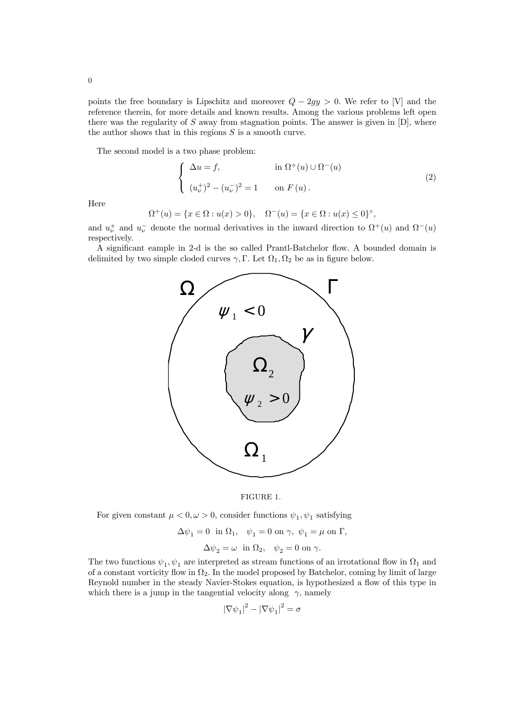points the free boundary is Lipschitz and moreover  $Q - 2gy > 0$ . We refer to [V] and the reference therein, for more details and known results. Among the various problems left open there was the regularity of  $S$  away from stagnation points. The answer is given in  $[D]$ , where the author shows that in this regions  $S$  is a smooth curve.

The second model is a two phase problem:

$$
\begin{cases}\n\Delta u = f, & \text{in } \Omega^+(u) \cup \Omega^-(u) \\
(u_\nu^+)^2 - (u_\nu^-)^2 = 1 & \text{on } F(u).\n\end{cases}
$$
\n(2)

Here

 $\Omega^+(u) = \{x \in \Omega : u(x) > 0\}, \quad \Omega^-(u) = \{x \in \Omega : u(x) \le 0\}^\circ,$ 

and  $u_{\nu}^{+}$  and  $u_{\nu}^{-}$  denote the normal derivatives in the inward direction to  $\Omega^{+}(u)$  and  $\Omega^{-}(u)$ respectively.

A significant eample in 2-d is the so called Prantl-Batchelor flow. A bounded domain is delimited by two simple cloded curves  $\gamma$ , Γ. Let  $\Omega_1, \Omega_2$  be as in figure below.





For given constant  $\mu < 0, \omega > 0$ , consider functions  $\psi_1, \psi_1$  satisfying

$$
\Delta\psi_1=0\ \ \text{in}\ \Omega_1,\quad \psi_1=0\ \text{on}\ \gamma,\ \psi_1=\mu\ \text{on}\ \Gamma,
$$

$$
\Delta \psi_2 = \omega \text{ in } \Omega_2, \quad \psi_2 = 0 \text{ on } \gamma.
$$

The two functions  $\psi_1, \psi_1$  are interpreted as stream functions of an irrotational flow in  $\Omega_1$  and of a constant vorticity flow in  $\Omega_2$ . In the model proposed by Batchelor, coming by limit of large Reynold number in the steady Navier-Stokes equation, is hypothesized a flow of this type in which there is a jump in the tangential velocity along  $\gamma$ , namely

$$
|\nabla \psi_1|^2 - |\nabla \psi_1|^2 = \sigma
$$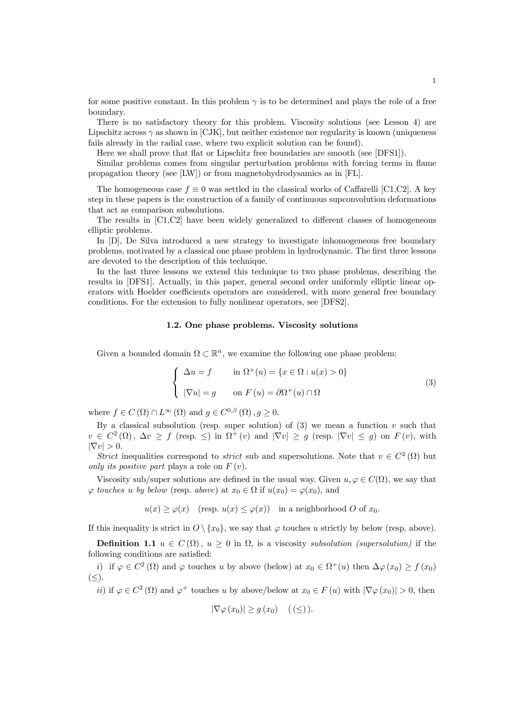for some positive constant. In this problem  $\gamma$  is to be determined and plays the role of a free boundary.

There is no satisfactory theory for this problem. Viscosity solutions (see Lesson 4) are Lipschitz across  $\gamma$  as shown in [CJK], but neither existence nor regularity is known (uniqueness fails already in the radial case, where two explicit solution can be found).

Here we shall prove that flat or Lipschitz free boundaries are smooth (see [DFS1]).

Similar problems comes from singular perturbation problems with forcing terms in flame propagation theory (see [LW]) or from magnetohydrodysamics as in [FL].

The homogeneous case  $f \equiv 0$  was settled in the classical works of Caffarelli [C1,C2]. A key step in these papers is the construction of a family of continuous supconvolution deformations that act as comparison subsolutions.

The results in [C1,C2] have been widely generalized to different classes of homogeneous elliptic problems.

In [D], De Silva introduced a new strategy to investigate inhomogeneous free boundary problems, motivated by a classical one phase problem in hydrodynamic. The first three lessons are devoted to the description of this technique.

In the last three lessons we extend this technique to two phase problems, describing the results in [DFS1]. Actually, in this paper, general second order uniformly elliptic linear operators with Hoelder coefficients operators are considered, with more general free boundary conditions. For the extension to fully nonlinear operators, see [DFS2].

#### 1.2. One phase problems. Viscosity solutions

Given a bounded domain  $\Omega \subset \mathbb{R}^n$ , we examine the following one phase problem:

$$
\begin{cases}\n\Delta u = f & \text{in } \Omega^+(u) = \{x \in \Omega : u(x) > 0\} \\
|\nabla u| = g & \text{on } F(u) = \partial \Omega^+(u) \cap \Omega\n\end{cases}
$$
\n(3)

where  $f \in C(\Omega) \cap L^{\infty}(\Omega)$  and  $g \in C^{0,\beta}(\Omega)$ ,  $g > 0$ .

By a classical subsolution (resp. super solution) of  $(3)$  we mean a function v such that  $v \in C^2(\Omega)$ ,  $\Delta v \ge f$  (resp.  $\le$ ) in  $\Omega^+(v)$  and  $|\nabla v| \ge g$  (resp.  $|\nabla v| \le g$ ) on  $F(v)$ , with  $|\nabla v| > 0.$ 

Strict inequalities correspond to *strict* sub and supersolutions. Note that  $v \in C^2(\Omega)$  but only its positive part plays a role on  $F(v)$ .

Viscosity sub/super solutions are defined in the usual way. Given  $u, \varphi \in C(\Omega)$ , we say that  $\varphi$  touches u by below (resp. above) at  $x_0 \in \Omega$  if  $u(x_0) = \varphi(x_0)$ , and

 $u(x) \ge \varphi(x)$  (resp.  $u(x) \le \varphi(x)$ ) in a neighborhood O of  $x_0$ .

If this inequality is strict in  $O \setminus \{x_0\}$ , we say that  $\varphi$  touches u strictly by below (resp. above).

Definition 1.1  $u \in C(\Omega)$ ,  $u \geq 0$  in  $\Omega$ , is a viscosity subsolution (supersolution) if the following conditions are satisfied:

i) if  $\varphi \in C^2(\Omega)$  and  $\varphi$  touches u by above (below) at  $x_0 \in \Omega^+(u)$  then  $\Delta \varphi(x_0) \ge f(x_0)$  $(\leq).$ 

*ii*) if  $\varphi \in C^2(\Omega)$  and  $\varphi^+$  touches u by above/below at  $x_0 \in F(u)$  with  $|\nabla \varphi(x_0)| > 0$ , then

$$
|\nabla \varphi(x_0)| \ge g(x_0) \quad (\ (\le)).
$$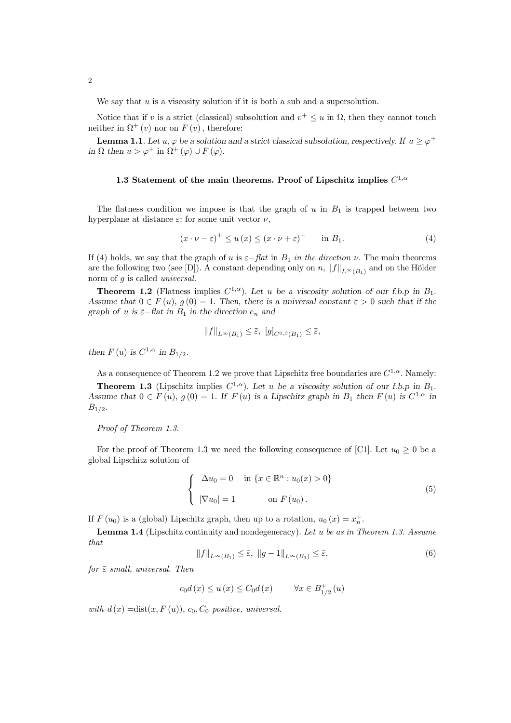We say that  $u$  is a viscosity solution if it is both a sub and a supersolution.

Notice that if v is a strict (classical) subsolution and  $v^+ \leq u$  in  $\Omega$ , then they cannot touch neither in  $\Omega^+(v)$  nor on  $F(v)$ , therefore:

**Lemma 1.1**. Let  $u, \varphi$  be a solution and a strict classical subsolution, respectively. If  $u \geq \varphi^+$ in  $\Omega$  then  $u > \varphi^+$  in  $\Omega^+(\varphi) \cup F(\varphi)$ .

## 1.3 Statement of the main theorems. Proof of Lipschitz implies  $C^{1,\alpha}$

The flatness condition we impose is that the graph of  $u$  in  $B_1$  is trapped between two hyperplane at distance  $\varepsilon$ : for some unit vector  $\nu$ ,

$$
(x \cdot \nu - \varepsilon)^{+} \le u(x) \le (x \cdot \nu + \varepsilon)^{+} \quad \text{in } B_1.
$$
 (4)

If (4) holds, we say that the graph of u is  $\varepsilon$ −flat in  $B_1$  in the direction  $\nu$ . The main theorems are the following two (see [D]). A constant depending only on n,  $||f||_{L^{\infty}(B_1)}$  and on the Hölder norm of g is called *universal*.

**Theorem 1.2** (Flatness implies  $C^{1,\alpha}$ ). Let u be a viscosity solution of our f.b.p in  $B_1$ . Assume that  $0 \in F(u)$ ,  $g(0) = 1$ . Then, there is a universal constant  $\overline{\varepsilon} > 0$  such that if the graph of u is  $\bar{\varepsilon}-$ flat in  $B_1$  in the direction  $e_n$  and

$$
||f||_{L^{\infty}(B_1)} \leq \overline{\varepsilon}, \ [g]_{C^{0,\beta}(B_1)} \leq \overline{\varepsilon},
$$

then  $F(u)$  is  $C^{1,\alpha}$  in  $B_{1/2}$ .

As a consequence of Theorem 1.2 we prove that Lipschitz free boundaries are  $C^{1,\alpha}$ . Namely:

**Theorem 1.3** (Lipschitz implies  $C^{1,\alpha}$ ). Let u be a viscosity solution of our f.b.p in  $B_1$ . Assume that  $0 \in F(u)$ ,  $g(0) = 1$ . If  $F(u)$  is a Lipschitz graph in  $B_1$  then  $F(u)$  is  $C^{1,\alpha}$  in  $B_{1/2}.$ 

Proof of Theorem 1.3.

For the proof of Theorem 1.3 we need the following consequence of [C1]. Let  $u_0 \ge 0$  be a global Lipschitz solution of

$$
\begin{cases}\n\Delta u_0 = 0 & \text{in } \{x \in \mathbb{R}^n : u_0(x) > 0\} \\
|\nabla u_0| = 1 & \text{on } F(u_0).\n\end{cases}
$$
\n(5)

If  $F(u_0)$  is a (global) Lipschitz graph, then up to a rotation,  $u_0(x) = x_n^+$ .

**Lemma 1.4** (Lipschitz continuity and nondegeneracy). Let u be as in Theorem 1.3. Assume that

$$
||f||_{L^{\infty}(B_1)} \leq \bar{\varepsilon}, \ ||g-1||_{L^{\infty}(B_1)} \leq \bar{\varepsilon}, \tag{6}
$$

for  $\bar{\varepsilon}$  small, universal. Then

$$
c_0 d(x) \le u(x) \le C_0 d(x) \qquad \forall x \in B_{1/2}^+(u)
$$

with  $d(x) = \text{dist}(x, F(u))$ ,  $c_0$ ,  $C_0$  positive, universal.

2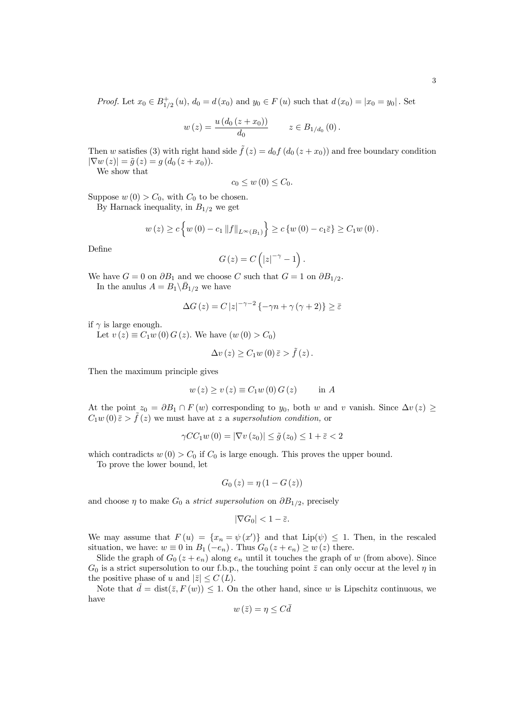*Proof.* Let  $x_0 \in B_{1/2}^+(u)$ ,  $d_0 = d(x_0)$  and  $y_0 \in F(u)$  such that  $d(x_0) = |x_0 = y_0|$ . Set

$$
w(z) = \frac{u (d_0 (z + x_0))}{d_0}
$$
  $z \in B_{1/d_0} (0).$ 

Then w satisfies (3) with right hand side  $\tilde{f}(z) = d_0 f(d_0 (z + x_0))$  and free boundary condition  $|\nabla w(z)| = \tilde{g}(z) = g(d_0(z + x_0)).$ 

We show that

$$
c_0 \leq w(0) \leq C_0.
$$

Suppose  $w(0) > C_0$ , with  $C_0$  to be chosen.

By Harnack inequality, in  $B_{1/2}$  we get

$$
w(z) \ge c \left\{ w(0) - c_1 \|f\|_{L^{\infty}(B_1)} \right\} \ge c \left\{ w(0) - c_1 \overline{\varepsilon} \right\} \ge C_1 w(0).
$$

Define

$$
G(z) = C\left(|z|^{-\gamma} - 1\right).
$$

We have  $G = 0$  on  $\partial B_1$  and we choose C such that  $G = 1$  on  $\partial B_{1/2}$ . In the anulus  $A = B_1 \backslash \bar{B}_{1/2}$  we have

$$
\Delta G\left(z\right) = C\left|z\right|^{-\gamma-2}\left\{-\gamma n + \gamma \left(\gamma + 2\right)\right\} \ge \bar{\varepsilon}
$$

if  $\gamma$  is large enough.

Let  $v(z) \equiv C_1 w(0) G(z)$ . We have  $(w(0) > C_0)$ 

$$
\Delta v(z) \geq C_1 w(0) \bar{z} > \tilde{f}(z).
$$

Then the maximum principle gives

$$
w(z) \ge v(z) \equiv C_1 w(0) G(z) \quad \text{in } A
$$

At the point  $z_0 = \partial B_1 \cap F(w)$  corresponding to y<sub>0</sub>, both w and v vanish. Since  $\Delta v(z) \ge$  $C_1w(0)\bar{\varepsilon} > \tilde{f}(z)$  we must have at z a supersolution condition, or

$$
\gamma CC_1 w(0) = |\nabla v(z_0)| \le \tilde{g}(z_0) \le 1 + \bar{\varepsilon} < 2
$$

which contradicts  $w(0) > C_0$  if  $C_0$  is large enough. This proves the upper bound.

To prove the lower bound, let

$$
G_0(z) = \eta (1 - G(z))
$$

and choose  $\eta$  to make  $G_0$  a *strict supersolution* on  $\partial B_{1/2}$ , precisely

$$
|\nabla G_0| < 1 - \bar{\varepsilon}.
$$

We may assume that  $F(u) = \{x_n = \psi(x')\}$  and that  $Lip(\psi) \leq 1$ . Then, in the rescaled situation, we have:  $w \equiv 0$  in  $B_1(-e_n)$ . Thus  $G_0(z + e_n) \geq w(z)$  there.

Slide the graph of  $G_0(z + e_n)$  along  $e_n$  until it touches the graph of w (from above). Since  $G_0$  is a strict supersolution to our f.b.p., the touching point  $\bar{z}$  can only occur at the level  $\eta$  in the positive phase of u and  $|\bar{z}| \leq C(L)$ .

Note that  $\bar{d} = \text{dist}(\bar{z}, F(w)) \leq 1$ . On the other hand, since w is Lipschitz continuous, we have

$$
w\left(\bar{z}\right) = \eta \le C\bar{d}
$$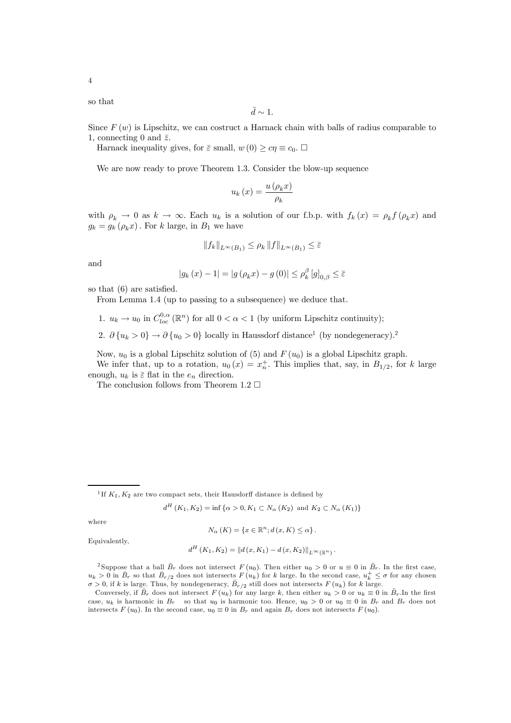so that

$$
\bar{d} \sim 1.
$$

Since  $F(w)$  is Lipschitz, we can costruct a Harnack chain with balls of radius comparable to 1, connecting 0 and  $\bar{z}$ .

Harnack inequality gives, for  $\bar{\varepsilon}$  small,  $w(0) \geq c\eta \equiv c_0$ .  $\Box$ 

We are now ready to prove Theorem 1.3. Consider the blow-up sequence

$$
u_k(x) = \frac{u(\rho_k x)}{\rho_k}
$$

with  $\rho_k \to 0$  as  $k \to \infty$ . Each  $u_k$  is a solution of our f.b.p. with  $f_k(x) = \rho_k f(\rho_k x)$  and  $g_k = g_k(\rho_k x)$ . For k large, in  $B_1$  we have

$$
||f_k||_{L^{\infty}(B_1)} \leq \rho_k ||f||_{L^{\infty}(B_1)} \leq \bar{\varepsilon}
$$

and

$$
|g_k(x) - 1| = |g(\rho_k x) - g(0)| \le \rho_k^{\beta} [g]_{0,\beta} \le \overline{\varepsilon}
$$

so that (6) are satisfied.

From Lemma 1.4 (up to passing to a subsequence) we deduce that.

- 1.  $u_k \to u_0$  in  $C^{0,\alpha}_{loc}(\mathbb{R}^n)$  for all  $0 < \alpha < 1$  (by uniform Lipschitz continuity);
- 2.  $\partial \{u_k > 0\} \rightarrow \partial \{u_0 > 0\}$  locally in Haussdorf distance<sup>1</sup> (by nondegeneracy).<sup>2</sup>

Now,  $u_0$  is a global Lipschitz solution of (5) and  $F(u_0)$  is a global Lipschitz graph.

We infer that, up to a rotation,  $u_0(x) = x_n^+$ . This implies that, say, in  $B_{1/2}$ , for k large enough,  $u_k$  is  $\bar{\varepsilon}$  flat in the  $e_n$  direction.

The conclusion follows from Theorem 1.2  $\Box$ 

 $d^H (K_1, K_2) = \inf \{ \alpha > 0, K_1 \subset N_\alpha (K_2) \text{ and } K_2 \subset N_\alpha (K_1) \}$ 

where

$$
N_{\alpha}(K) = \{x \in \mathbb{R}^{n}; d(x, K) \leq \alpha\}.
$$

Equivalently,

$$
d^{H}(K_{1}, K_{2}) = ||d(x, K_{1}) - d(x, K_{2})||_{L^{\infty}(\mathbb{R}^{n})}.
$$

<sup>2</sup> Suppose that a ball  $\bar{B}_r$  does not intersect  $F(u_0)$ . Then either  $u_0 > 0$  or  $u \equiv 0$  in  $\bar{B}_r$ . In the first case,  $u_k > 0$  in  $\bar{B}_r$  so that  $\bar{B}_{r/2}$  does not intersects  $F(u_k)$  for k large. In the second case,  $u_k^+ \leq \sigma$  for any chosen  $\sigma > 0$ , if k is large. Thus, by nondegeneracy,  $\bar{B}_{r/2}$  still does not intersects  $F(u_k)$  for k large.

Conversely, if  $\bar{B}_r$  does not intersect  $F(u_k)$  for any large k, then either  $u_k > 0$  or  $u_k \equiv 0$  in  $\bar{B}_r$ . In the first case,  $u_k$  is harmonic in  $B_r$  so that  $u_0$  is harmonic too. Hence,  $u_0 > 0$  or  $u_0 \equiv 0$  in  $B_r$  and  $B_r$  does not intersects  $F(u_0)$ . In the second case,  $u_0 \equiv 0$  in  $B_r$  and again  $B_r$  does not intersects  $F(u_0)$ .

<sup>&</sup>lt;sup>1</sup>If  $K_1, K_2$  are two compact sets, their Hausdorff distance is defined by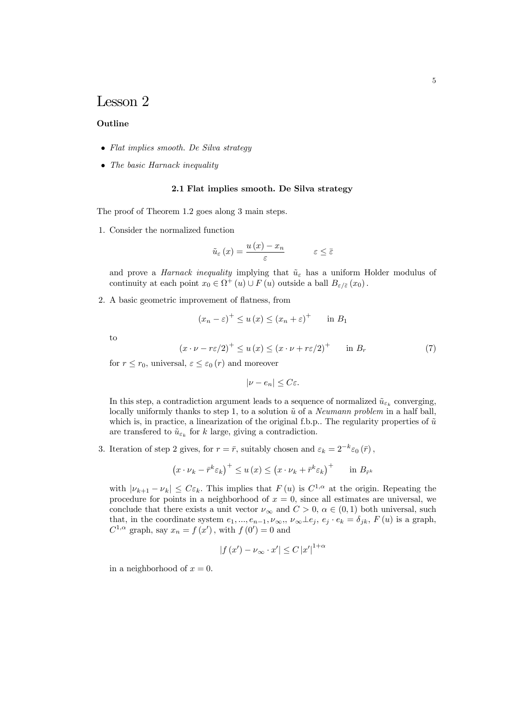# Lesson 2

## **Outline**

- Flat implies smooth. De Silva strategy
- The basic Harnack inequality

#### 2.1 Flat implies smooth. De Silva strategy

The proof of Theorem 1.2 goes along 3 main steps.

1. Consider the normalized function

$$
\tilde{u}_{\varepsilon}\left(x\right) = \frac{u\left(x\right) - x_n}{\varepsilon} \qquad \qquad \varepsilon \leq \bar{\varepsilon}
$$

and prove a *Harnack inequality* implying that  $\tilde{u}_{\varepsilon}$  has a uniform Holder modulus of continuity at each point  $x_0 \in \Omega^+$  (u)  $\cup F(u)$  outside a ball  $B_{\varepsilon/\bar{\varepsilon}}(x_0)$ .

2. A basic geometric improvement of flatness, from

$$
(x_n - \varepsilon)^+ \le u(x) \le (x_n + \varepsilon)^+ \quad \text{in } B_1
$$

to

$$
(x \cdot \nu - r\varepsilon/2)^{+} \le u(x) \le (x \cdot \nu + r\varepsilon/2)^{+} \quad \text{in } B_r \tag{7}
$$

for  $r \leq r_0$ , universal,  $\varepsilon \leq \varepsilon_0(r)$  and moreover

 $|\nu - e_n|$  <  $C_{\varepsilon}$ .

In this step, a contradiction argument leads to a sequence of normalized  $\tilde{u}_{\varepsilon_k}$  converging, locally uniformly thanks to step 1, to a solution  $\tilde{u}$  of a *Neumann problem* in a half ball, which is, in practice, a linearization of the original f.b.p.. The regularity properties of  $\tilde{u}$ are transferred to  $\tilde{u}_{\varepsilon_k}$  for k large, giving a contradiction.

3. Iteration of step 2 gives, for  $r = \bar{r}$ , suitably chosen and  $\varepsilon_k = 2^{-k} \varepsilon_0(\bar{r})$ ,

$$
(x \cdot \nu_k - \bar{r}^k \varepsilon_k)^+ \le u(x) \le (x \cdot \nu_k + \bar{r}^k \varepsilon_k)^+ \quad \text{in } B_{\bar{r}^k}
$$

with  $|\nu_{k+1} - \nu_k| \leq C \varepsilon_k$ . This implies that  $F(u)$  is  $C^{1,\alpha}$  at the origin. Repeating the procedure for points in a neighborhood of  $x = 0$ , since all estimates are universal, we conclude that there exists a unit vector  $\nu_{\infty}$  and  $C > 0$ ,  $\alpha \in (0, 1)$  both universal, such that, in the coordinate system  $e_1, ..., e_{n-1}, \nu_{\infty}, \nu_{\infty} \perp e_j, e_j \cdot e_k = \delta_{jk}, F(u)$  is a graph,  $C^{1,\alpha}$  graph, say  $x_n = f(x')$ , with  $f(0') = 0$  and

$$
|f(x') - \nu_{\infty} \cdot x'| \leq C |x'|^{1+\alpha}
$$

in a neighborhood of  $x = 0$ .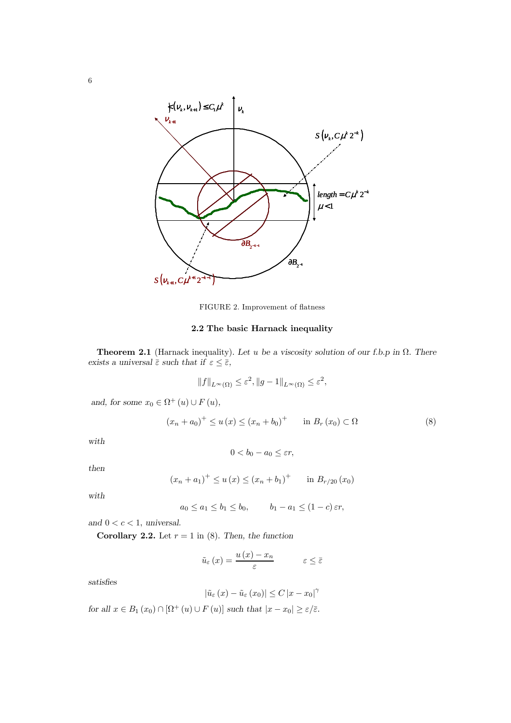

FIGURE 2. Improvement of flatness

## 2.2 The basic Harnack inequality

**Theorem 2.1** (Harnack inequality). Let u be a viscosity solution of our f.b.p in  $\Omega$ . There exists a universal  $\bar{\varepsilon}$  such that if  $\varepsilon \leq \bar{\varepsilon}$ ,

$$
||f||_{L^{\infty}(\Omega)} \leq \varepsilon^2, ||g-1||_{L^{\infty}(\Omega)} \leq \varepsilon^2,
$$

and, for some  $x_0 \in \Omega^+$   $(u) \cup F(u)$ ,

$$
(x_n + a_0)^+ \le u(x) \le (x_n + b_0)^+ \quad \text{in } B_r(x_0) \subset \Omega \tag{8}
$$

with

$$
0 < b_0 - a_0 \leq \varepsilon r
$$

then

$$
(x_n + a_1)^+ \le u(x) \le (x_n + b_1)^+
$$
 in  $B_{r/20}(x_0)$ 

with

$$
a_0 \le a_1 \le b_1 \le b_0
$$
,  $b_1 - a_1 \le (1 - c) \varepsilon r$ ,

and  $0 < c < 1$ , universal.

Corollary 2.2. Let  $r = 1$  in (8). Then, the function

$$
\tilde{u}_{\varepsilon}\left(x\right) = \frac{u\left(x\right) - x_n}{\varepsilon} \qquad \qquad \varepsilon \leq \bar{\varepsilon}
$$

satisfies

$$
\left|\tilde{u}_{\varepsilon}\left(x\right)-\tilde{u}_{\varepsilon}\left(x_0\right)\right| \leq C\left|x-x_0\right|^\gamma
$$

for all  $x \in B_1(x_0) \cap [\Omega^+(u) \cup F(u)]$  such that  $|x - x_0| \ge \varepsilon/\overline{\varepsilon}$ .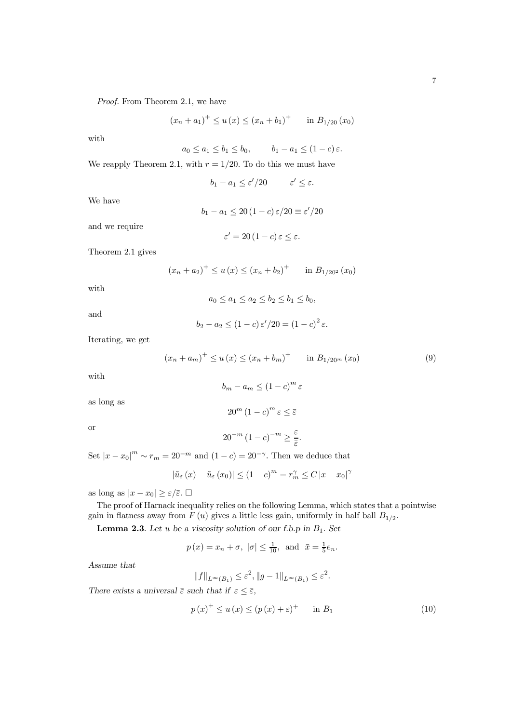Proof. From Theorem 2.1, we have

$$
(x_n + a_1)^+ \le u(x) \le (x_n + b_1)^+
$$
 in  $B_{1/20}(x_0)$ 

with

$$
a_0 \le a_1 \le b_1 \le b_0, \qquad b_1 - a_1 \le (1 - c) \varepsilon.
$$

We reapply Theorem 2.1, with  $r = 1/20$ . To do this we must have

$$
b_1 - a_1 \le \varepsilon'/20 \qquad \varepsilon' \le \bar{\varepsilon}.
$$

We have

$$
b_1 - a_1 \le 20 (1 - c) \,\varepsilon / 20 \equiv \varepsilon' / 20
$$

and we require

$$
\varepsilon' = 20 (1 - c) \, \varepsilon \leq \bar{\varepsilon}.
$$

Theorem 2.1 gives

$$
(x_n + a_2)^+ \le u(x) \le (x_n + b_2)^+
$$
 in  $B_{1/20^2}(x_0)$ 

with

$$
a_0 \le a_1 \le a_2 \le b_2 \le b_1 \le b_0,
$$

and

$$
b_2 - a_2 \le (1 - c) \varepsilon'/20 = (1 - c)^2 \varepsilon.
$$

Iterating, we get

$$
(x_n + a_m)^+ \le u(x) \le (x_n + b_m)^+ \quad \text{in } B_{1/20^m}(x_0)
$$
 (9)

with

as long as

$$
b_m - a_m \le (1 - c)^m \varepsilon
$$

$$
20^m \left(1 - c\right)^m \varepsilon \le \bar{\varepsilon}
$$

or

$$
20^{-m} (1 - c)^{-m} \ge \frac{\varepsilon}{\bar{\varepsilon}}.
$$

Set  $|x-x_0|^m \sim r_m = 20^{-m}$  and  $(1-c) = 20^{-\gamma}$ . Then we deduce that

$$
|\tilde{u}_{\varepsilon}(x) - \tilde{u}_{\varepsilon}(x_0)| \le (1 - c)^m = r_m^{\gamma} \le C |x - x_0|^{\gamma}
$$

as long as  $|x - x_0| \ge \varepsilon/\overline{\varepsilon}$ .  $\Box$ 

The proof of Harnack inequality relies on the following Lemma, which states that a pointwise gain in flatness away from  $F(u)$  gives a little less gain, uniformly in half ball  $B_{1/2}$ .

**Lemma 2.3**. Let u be a viscosity solution of our f.b.p in  $B_1$ . Set

$$
p(x) = x_n + \sigma, |\sigma| \le \frac{1}{10}, \text{ and } \bar{x} = \frac{1}{5}e_n.
$$

Assume that

$$
||f||_{L^{\infty}(B_1)} \leq \varepsilon^2, ||g-1||_{L^{\infty}(B_1)} \leq \varepsilon^2.
$$

There exists a universal  $\bar{\varepsilon}$  such that if  $\varepsilon \leq \bar{\varepsilon}$ ,

$$
p(x)^{+} \le u(x) \le (p(x) + \varepsilon)^{+} \quad \text{in } B_1 \tag{10}
$$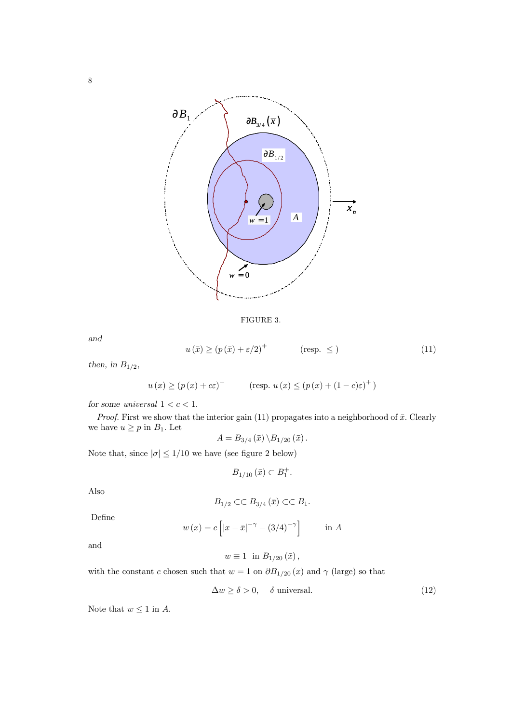

FIGURE 3.

and

$$
u(\bar{x}) \ge (p(\bar{x}) + \varepsilon/2)^{+} \qquad \text{(resp. } \le \text{)}
$$
 (11)

then, in  $B_{1/2}$ ,

 $u(x) \ge (p(x) + c\varepsilon)^{+}$  (resp.  $u(x) \le (p(x) + (1 - c)\varepsilon)^{+})$ )

for some universal  $1 < c < 1$ .

*Proof.* First we show that the interior gain (11) propagates into a neighborhood of  $\bar{x}$ . Clearly we have  $u \geq p$  in  $B_1$ . Let

$$
A=B_{3/4}\left(\bar{x}\right)\backslash B_{1/20}\left(\bar{x}\right).
$$

Note that, since  $|\sigma| \leq 1/10$  we have (see figure 2 below)

$$
B_{1/10}\left(\bar{x}\right) \subset B_1^+.
$$

Also

$$
B_{1/2} \subset\subset B_{3/4}(\bar{x}) \subset\subset B_1.
$$

Define

$$
w(x) = c \left[ |x - \bar{x}|^{-\gamma} - (3/4)^{-\gamma} \right] \qquad \text{in } A
$$

and

$$
w \equiv 1 \text{ in } B_{1/20}(\bar{x}),
$$

with the constant c chosen such that  $w = 1$  on  $\partial B_{1/20}(\bar{x})$  and  $\gamma$  (large) so that

$$
\Delta w \ge \delta > 0, \quad \delta \text{ universal.} \tag{12}
$$

Note that  $w \leq 1$  in A.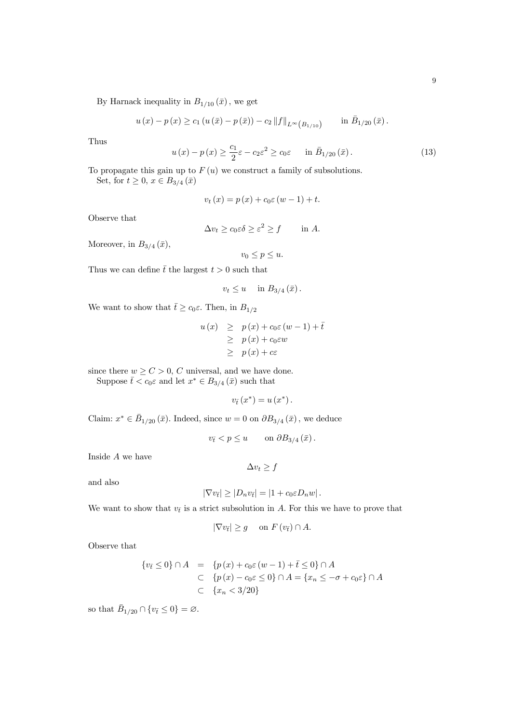By Harnack inequality in  $B_{1/10}(\bar{x})$ , we get

$$
u(x) - p(x) \ge c_1 (u(\bar{x}) - p(\bar{x})) - c_2 ||f||_{L^{\infty}(B_{1/10})}
$$
 in  $\bar{B}_{1/20}(\bar{x})$ .

Thus

$$
u(x) - p(x) \ge \frac{c_1}{2}\varepsilon - c_2\varepsilon^2 \ge c_0\varepsilon \quad \text{in } \bar{B}_{1/20}(\bar{x}). \tag{13}
$$

To propagate this gain up to  $F(u)$  we construct a family of subsolutions. Set, for  $t \ge 0$ ,  $x \in B_{3/4}(\bar{x})$ 

$$
v_t(x) = p(x) + c_0 \varepsilon (w - 1) + t.
$$

Observe that

 $\Delta v_t \geq c_0 \varepsilon \delta \geq \varepsilon^2 \geq f$  in A.

Moreover, in  $B_{3/4}(\bar{x})$ ,

 $v_0 \leq p \leq u$ .

Thus we can define  $\bar{t}$  the largest  $t > 0$  such that

$$
v_t \leq u \quad \text{ in } B_{3/4}(\bar{x}).
$$

We want to show that  $\bar{t} \geq c_0 \varepsilon$ . Then, in  $B_{1/2}$ 

$$
u(x) \geq p(x) + c_0 \varepsilon (w - 1) + \overline{t}
$$
  
\n
$$
\geq p(x) + c_0 \varepsilon w
$$
  
\n
$$
\geq p(x) + c \varepsilon
$$

since there  $w \ge C > 0$ , C universal, and we have done.

Suppose  $\bar{t} < c_0 \varepsilon$  and let  $x^* \in B_{3/4}(\bar{x})$  such that

$$
v_{\bar{t}}\left(x^*\right) = u\left(x^*\right).
$$

Claim:  $x^* \in \overline{B}_{1/20}(\overline{x})$ . Indeed, since  $w = 0$  on  $\partial B_{3/4}(\overline{x})$ , we deduce

$$
v_{\bar{t}} < p \le u \qquad \text{on } \partial B_{3/4}(\bar{x}) \, .
$$

Inside A we have

 $\Delta v_t \geq f$ 

and also

$$
|\nabla v_{\bar{t}}| \geq |D_n v_{\bar{t}}| = |1 + c_0 \varepsilon D_n w|.
$$

We want to show that  $v_{\bar{t}}$  is a strict subsolution in A. For this we have to prove that

$$
|\nabla v_{\bar{t}}| \ge g \quad \text{ on } F(v_{\bar{t}}) \cap A.
$$

Observe that

$$
\begin{aligned} \{v_{\bar{t}} \le 0\} \cap A &= \{p(x) + c_0 \varepsilon \left(w - 1\right) + \bar{t} \le 0\} \cap A \\ &\subset \{p(x) - c_0 \varepsilon \le 0\} \cap A = \{x_n \le -\sigma + c_0 \varepsilon\} \cap A \\ &\subset \{x_n < 3/20\} \end{aligned}
$$

so that  $\bar{B}_{1/20} \cap \{v_{\bar{t}} \le 0\} = \varnothing$ .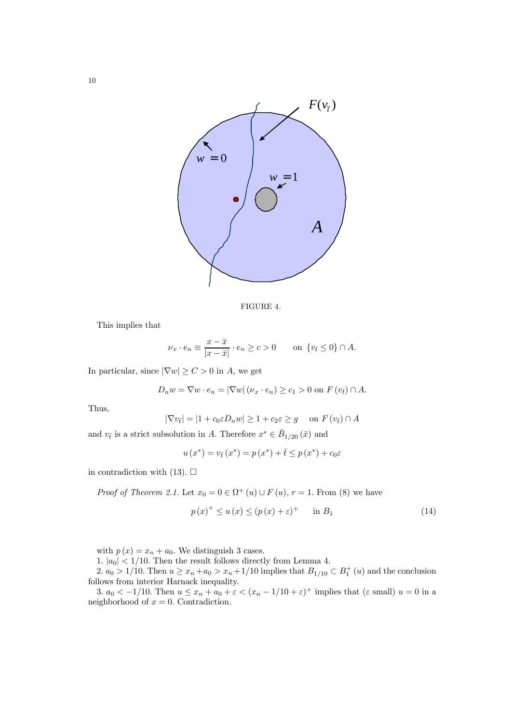

FIGURE 4.

This implies that

$$
\nu_x \cdot e_n \equiv \frac{x - \bar{x}}{|x - \bar{x}|} \cdot e_n \ge c > 0 \quad \text{on } \{v_{\bar{t}} \le 0\} \cap A.
$$

In particular, since  $|\nabla w| \ge C > 0$  in A, we get

$$
D_n w = \nabla w \cdot e_n = |\nabla w| \left( \nu_x \cdot e_n \right) \ge c_1 > 0 \text{ on } F(v_{\overline{t}}) \cap A.
$$

Thus,

$$
|\nabla v_{\bar{t}}| = |1 + c_0 \varepsilon D_n w| \ge 1 + c_2 \varepsilon \ge g \quad \text{on } F(v_{\bar{t}}) \cap A
$$

and  $v_{\bar{t}}$  is a strict subsolution in A. Therefore  $x^* \in \bar{B}_{1/20}(\bar{x})$  and

$$
u(x^*) = v_{\bar{t}}(x^*) = p(x^*) + \bar{t} \le p(x^*) + c_0 \varepsilon
$$

in contradiction with  $(13)$ .  $\Box$ 

*Proof of Theorem 2.1.* Let  $x_0 = 0 \in \Omega^+ (u) \cup F(u)$ ,  $r = 1$ . From (8) we have

$$
p(x)^{+} \le u(x) \le (p(x) + \varepsilon)^{+} \quad \text{in } B_1 \tag{14}
$$

with  $p(x) = x_n + a_0$ . We distinguish 3 cases.

1.  $|a_0|$  < 1/10. Then the result follows directly from Lemma 4.

2.  $a_0 > 1/10$ . Then  $u \ge x_n + a_0 > x_n + 1/10$  implies that  $B_{1/10} \subset B_1^+(u)$  and the conclusion follows from interior Harnack inequality.

3.  $a_0 < -1/10$ . Then  $u \le x_n + a_0 + \varepsilon < (x_n - 1/10 + \varepsilon)^+$  implies that  $(\varepsilon \text{ small}) u = 0$  in a neighborhood of  $x = 0$ . Contradiction.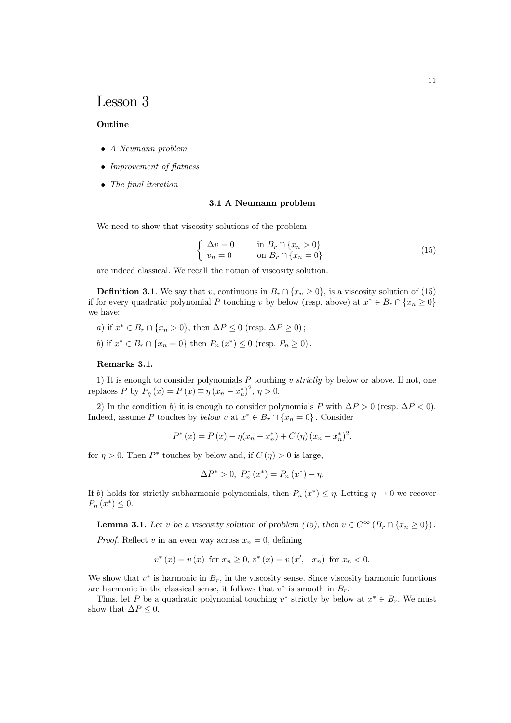# Lesson 3

#### Outline

- A Neumann problem
- Improvement of flatness
- The final iteration

#### 3.1 A Neumann problem

We need to show that viscosity solutions of the problem

$$
\begin{cases}\n\Delta v = 0 & \text{in } B_r \cap \{x_n > 0\} \\
v_n = 0 & \text{on } B_r \cap \{x_n = 0\}\n\end{cases}
$$
\n(15)

are indeed classical. We recall the notion of viscosity solution.

**Definition 3.1**. We say that v, continuous in  $B_r \cap \{x_n \geq 0\}$ , is a viscosity solution of (15) if for every quadratic polynomial P touching v by below (resp. above) at  $x^* \in B_r \cap \{x_n \geq 0\}$ we have:

- a) if  $x^* \in B_r \cap \{x_n > 0\}$ , then  $\Delta P \le 0$  (resp.  $\Delta P \ge 0$ );
- b) if  $x^* \in B_r \cap \{x_n = 0\}$  then  $P_n(x^*) \le 0$  (resp.  $P_n \ge 0$ ).

## Remarks 3.1.

1) It is enough to consider polynomials  $P$  touching v strictly by below or above. If not, one replaces P by  $P_{\eta}(x) = P(x) \mp \eta (x_n - x_n^*)^2$ ,  $\eta > 0$ .

2) In the condition b) it is enough to consider polynomials P with  $\Delta P > 0$  (resp.  $\Delta P < 0$ ). Indeed, assume P touches by below v at  $x^* \in B_r \cap \{x_n = 0\}$ . Consider

$$
P^*(x) = P(x) - \eta(x_n - x_n^*) + C(\eta)(x_n - x_n^*)^2.
$$

for  $\eta > 0$ . Then  $P^*$  touches by below and, if  $C(\eta) > 0$  is large,

$$
\Delta P^* > 0, \ P_n^*(x^*) = P_n(x^*) - \eta.
$$

If b) holds for strictly subharmonic polynomials, then  $P_n(x^*) \leq \eta$ . Letting  $\eta \to 0$  we recover  $P_n(x^*) \leq 0.$ 

**Lemma 3.1.** Let v be a viscosity solution of problem (15), then  $v \in C^{\infty}(B_r \cap \{x_n > 0\})$ .

*Proof.* Reflect v in an even way across  $x_n = 0$ , defining

$$
v^{*}(x) = v(x)
$$
 for  $x_n \ge 0$ ,  $v^{*}(x) = v(x', -x_n)$  for  $x_n < 0$ .

We show that  $v^*$  is harmonic in  $B_r$ , in the viscosity sense. Since viscosity harmonic functions are harmonic in the classical sense, it follows that  $v^*$  is smooth in  $B_r$ .

Thus, let P be a quadratic polynomial touching v<sup>\*</sup> strictly by below at  $x^* \in B_r$ . We must show that  $\Delta P \leq 0$ .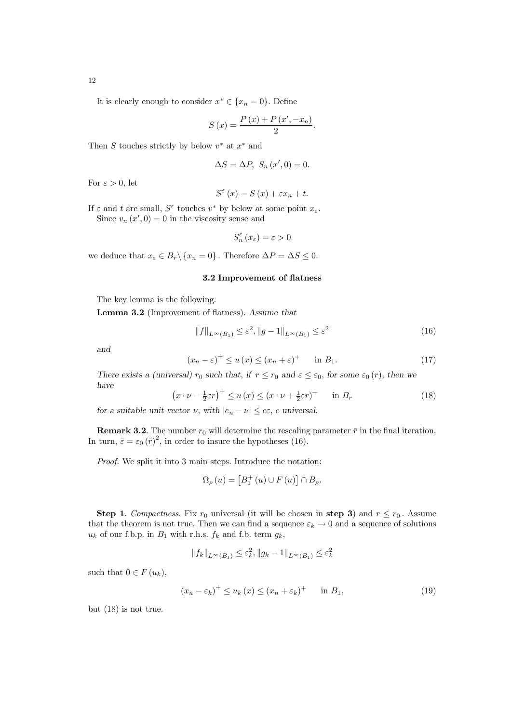12

It is clearly enough to consider  $x^* \in \{x_n = 0\}$ . Define

$$
S(x) = \frac{P(x) + P(x', -x_n)}{2}.
$$

Then S touches strictly by below  $v^*$  at  $x^*$  and

$$
\Delta S = \Delta P, S_n(x', 0) = 0.
$$

For  $\varepsilon > 0$ , let

$$
S^{\varepsilon}(x) = S(x) + \varepsilon x_n + t.
$$

If  $\varepsilon$  and t are small,  $S^{\varepsilon}$  touches  $v^*$  by below at some point  $x_{\varepsilon}$ . Since  $v_n(x',0) = 0$  in the viscosity sense and

$$
S_{n}^{\varepsilon}\left(x_{\varepsilon}\right)=\varepsilon>0
$$

we deduce that  $x_{\varepsilon} \in B_r \backslash \{x_n = 0\}$ . Therefore  $\Delta P = \Delta S \leq 0$ .

#### 3.2 Improvement of flatness

The key lemma is the following.

Lemma 3.2 (Improvement of flatness). Assume that

$$
||f||_{L^{\infty}(B_1)} \leq \varepsilon^2, ||g - 1||_{L^{\infty}(B_1)} \leq \varepsilon^2
$$
\n(16)

and

$$
(x_n - \varepsilon)^+ \le u(x) \le (x_n + \varepsilon)^+ \quad \text{in } B_1.
$$
 (17)

There exists a (universal)  $r_0$  such that, if  $r \le r_0$  and  $\varepsilon \le \varepsilon_0$ , for some  $\varepsilon_0(r)$ , then we have

$$
\left(x \cdot \nu - \frac{1}{2}\varepsilon r\right)^{+} \le u\left(x\right) \le \left(x \cdot \nu + \frac{1}{2}\varepsilon r\right)^{+} \quad \text{in } B_{r} \tag{18}
$$

for a suitable unit vector  $\nu$ , with  $|e_n - \nu| \leq c \varepsilon$ , c universal.

**Remark 3.2.** The number  $r_0$  will determine the rescaling parameter  $\bar{r}$  in the final iteration. In turn,  $\bar{\varepsilon} = \varepsilon_0 (\bar{r})^2$ , in order to insure the hypotheses (16).

Proof. We split it into 3 main steps. Introduce the notation:

$$
\Omega_{\rho}(u) = \left[B_1^+(u) \cup F(u)\right] \cap B_{\rho}.
$$

Step 1. Compactness. Fix  $r_0$  universal (it will be chosen in step 3) and  $r \le r_0$ . Assume that the theorem is not true. Then we can find a sequence  $\varepsilon_k \to 0$  and a sequence of solutions  $u_k$  of our f.b.p. in  $B_1$  with r.h.s.  $f_k$  and f.b. term  $g_k$ ,

$$
||f_k||_{L^{\infty}(B_1)} \leq \varepsilon_k^2, ||g_k - 1||_{L^{\infty}(B_1)} \leq \varepsilon_k^2
$$

such that  $0 \in F(u_k)$ ,

$$
(x_n - \varepsilon_k)^+ \le u_k(x) \le (x_n + \varepsilon_k)^+ \quad \text{in } B_1,\tag{19}
$$

but (18) is not true.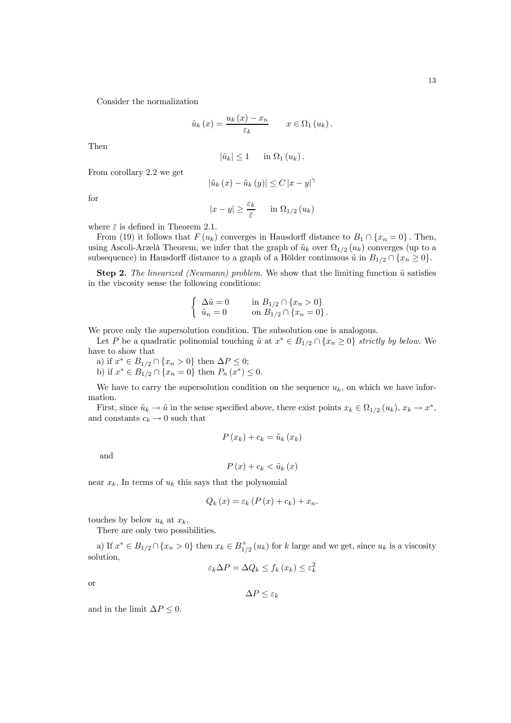Consider the normalization

$$
\tilde{u}_k(x) = \frac{u_k(x) - x_n}{\varepsilon_k} \qquad x \in \Omega_1(u_k).
$$

Then

$$
|\tilde{u}_k| \leq 1 \quad \text{in } \Omega_1(u_k).
$$

From corollary 2.2 we get

$$
\left|\tilde{u}_{k}\left(x\right)-\tilde{u}_{k}\left(y\right)\right| \leq C\left|x-y\right|^{\gamma}
$$

for

$$
|x - y| \ge \frac{\varepsilon_k}{\overline{\varepsilon}} \quad \text{in } \Omega_{1/2}(u_k)
$$

where  $\bar{\varepsilon}$  is defined in Theorem 2.1.

From (19) it follows that  $F(u_k)$  converges in Hausdorff distance to  $B_1 \cap \{x_n = 0\}$ . Then, using Ascoli-Arzelà Theorem, we infer that the graph of  $\tilde{u}_k$  over  $\Omega_{1/2}(u_k)$  converges (up to a subsequence) in Hausdorff distance to a graph of a Hölder continuous  $\tilde{u}$  in  $B_{1/2} \cap \{x_n \geq 0\}$ .

**Step 2.** The linearized (Neumann) problem. We show that the limiting function  $\tilde{u}$  satisfies in the viscosity sense the following conditions:

$$
\left\{\begin{array}{ll}\Delta \tilde{u}=0 & \quad \text{in } B_{1/2}\cap\{x_n>0\} \\ \tilde{u}_n=0 & \quad \text{on } B_{1/2}\cap\{x_n=0\} \, .\end{array}\right.
$$

We prove only the supersolution condition. The subsolution one is analogous.

Let P be a quadratic polinomial touching  $\tilde{u}$  at  $x^* \in B_{1/2} \cap \{x_n \geq 0\}$  strictly by below. We have to show that

a) if  $x^* \in B_{1/2} \cap \{x_n > 0\}$  then  $\Delta P \leq 0$ ; b) if  $x^* \in B_{1/2} \cap \{x_n = 0\}$  then  $P_n(x^*) \leq 0$ .

We have to carry the supersolution condition on the sequence  $u_k$ , on which we have information.

First, since  $\tilde{u}_k \to \tilde{u}$  in the sense specified above, there exist points  $x_k \in \Omega_{1/2}(u_k)$ ,  $x_k \to x^*$ , and constants  $c_k \to 0$  such that

$$
P(x_k) + c_k = \tilde{u}_k(x_k)
$$

and

$$
P\left(x\right) + c_k < \tilde{u}_k\left(x\right)
$$

near  $x_k$ . In terms of  $u_k$  this says that the polynomial

$$
Q_k(x) = \varepsilon_k \left( P(x) + c_k \right) + x_n.
$$

touches by below  $u_k$  at  $x_k$ .

There are only two possibilities.

a) If  $x^* \in B_{1/2} \cap \{x_n > 0\}$  then  $x_k \in B_{1/2}^+(u_k)$  for k large and we get, since  $u_k$  is a viscosity solution,

$$
\varepsilon_k \Delta P = \Delta Q_k \le f_k(x_k) \le \varepsilon_k^2
$$

or

 $\Delta P \leq \varepsilon_k$ 

and in the limit  $\Delta P \leq 0$ .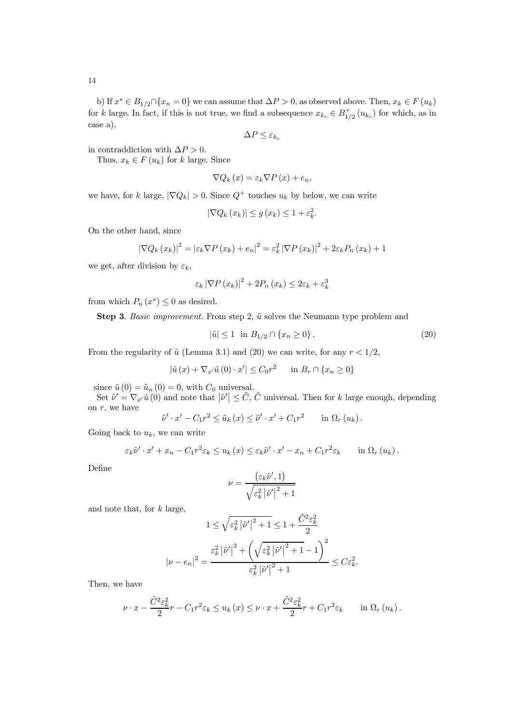14

b) If  $x^* \in B_{1/2} \cap \{x_n = 0\}$  we can assume that  $\Delta P > 0$ , as observed above. Then,  $x_k \in F(u_k)$ for k large. In fact, if this is not true, we find a subsequence  $x_{k_s} \in B_{1/2}^+(u_{k_s})$  for which, as in case a),

$$
\Delta P \leq \varepsilon_{k_s}
$$

in contraddiction with  $\Delta P > 0$ .

Thus,  $x_k \in F(u_k)$  for k large. Since

$$
\nabla Q_{k}(x) = \varepsilon_{k} \nabla P(x) + e_{n},
$$

we have, for k large,  $|\nabla Q_k| > 0$ . Since  $Q^+$  touches  $u_k$  by below, we can write

$$
|\nabla Q_k(x_k)| \le g(x_k) \le 1 + \varepsilon_k^2.
$$

On the other hand, since

$$
\left|\nabla Q_{k}\left(x_{k}\right)\right|^{2} = \left|\varepsilon_{k}\nabla P\left(x_{k}\right) + e_{n}\right|^{2} = \varepsilon_{k}^{2}\left|\nabla P\left(x_{k}\right)\right|^{2} + 2\varepsilon_{k}P_{n}\left(x_{k}\right) + 1
$$

we get, after division by  $\varepsilon_k$ ,

$$
\varepsilon_k \left| \nabla P \left( x_k \right) \right|^2 + 2P_n \left( x_k \right) \leq 2\varepsilon_k + \varepsilon_k^3
$$

from which  $P_n(x^*) \leq 0$  as desired.

Step 3. Basic improvement. From step 2,  $\tilde{u}$  solves the Neumann type problem and

$$
|\tilde{u}| \le 1 \quad \text{in } B_{1/2} \cap \{x_n \ge 0\} \,. \tag{20}
$$

From the regularity of  $\tilde{u}$  (Lemma 3.1) and (20) we can write, for any  $r < 1/2$ ,

$$
|\tilde{u}(x) + \nabla_{x'} \tilde{u}(0) \cdot x'| \le C_0 r^2 \quad \text{in } B_r \cap \{x_n \ge 0\}
$$

since  $\tilde{u}(0) = \tilde{u}_n(0) = 0$ , with  $C_0$  universal.

Set  $\tilde{\nu}' = \nabla_{x'} \tilde{u}(0)$  and note that  $|\tilde{\nu}'| \leq \tilde{C}$ ,  $\tilde{C}$  universal. Then for k large enough, depending on  $r$ , we have

$$
\tilde{\nu}' \cdot x' - C_1 r^2 \leq \tilde{u}_k(x) \leq \tilde{\nu}' \cdot x' + C_1 r^2 \qquad \text{in } \Omega_r(u_k) \, .
$$

Going back to  $u_k$ , we can write

$$
\varepsilon_k \tilde{\nu}' \cdot x' + x_n - C_1 r^2 \varepsilon_k \le u_k(x) \le \varepsilon_k \tilde{\nu}' \cdot x' - x_n + C_1 r^2 \varepsilon_k \quad \text{in } \Omega_r(u_k).
$$

Define

$$
\nu = \frac{\left(\varepsilon_k \tilde{\nu}', 1\right)}{\sqrt{\varepsilon_k^2 \left|\tilde{\nu}'\right|^2 + 1}}
$$

and note that, for  $k$  large,

$$
1 \leq \sqrt{\varepsilon_k^2 |\tilde{\nu}'|^2 + 1} \leq 1 + \frac{\tilde{C}^2 \varepsilon_k^2}{2}
$$

$$
|\nu - e_n|^2 = \frac{\varepsilon_k^2 |\tilde{\nu}'|^2 + \left(\sqrt{\varepsilon_k^2 |\tilde{\nu}'|^2 + 1} - 1\right)^2}{\varepsilon_k^2 |\tilde{\nu}'|^2 + 1} \leq C\varepsilon_k^2.
$$

Then, we have

$$
\nu \cdot x - \frac{\tilde{C}^2 \varepsilon_k^2}{2} r - C_1 r^2 \varepsilon_k \le u_k(x) \le \nu \cdot x + \frac{\tilde{C}^2 \varepsilon_k^2}{2} r + C_1 r^2 \varepsilon_k \quad \text{in } \Omega_r(u_k).
$$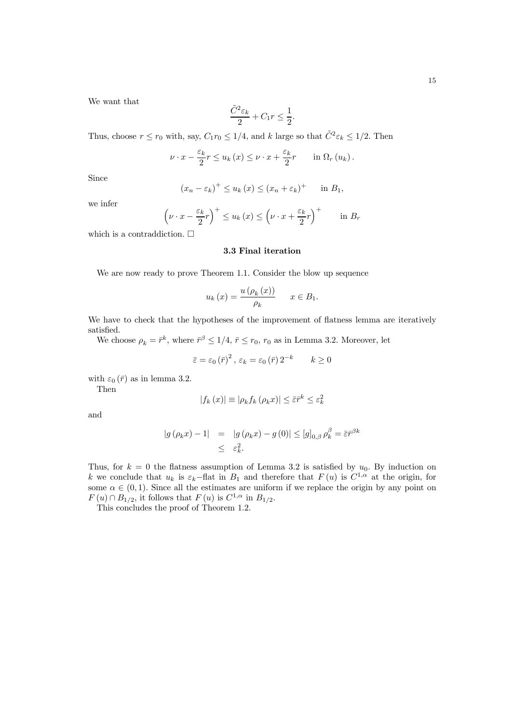$$
\frac{\tilde{C}^2 \varepsilon_k}{2} + C_1 r \le \frac{1}{2}.
$$

Thus, choose  $r \le r_0$  with, say,  $C_1 r_0 \le 1/4$ , and k large so that  $\tilde{C}^2 \varepsilon_k \le 1/2$ . Then

$$
\nu \cdot x - \frac{\varepsilon_k}{2} r \le u_k(x) \le \nu \cdot x + \frac{\varepsilon_k}{2} r \quad \text{in } \Omega_r(u_k).
$$

Since

$$
(x_n - \varepsilon_k)^+ \le u_k(x) \le (x_n + \varepsilon_k)^+ \quad \text{in } B_1,
$$

we infer

$$
\left(\nu \cdot x - \frac{\varepsilon_k}{2}r\right)^+ \le u_k\left(x\right) \le \left(\nu \cdot x + \frac{\varepsilon_k}{2}r\right)^+ \qquad \text{in } B_r
$$

which is a contraddiction.  $\Box$ 

### 3.3 Final iteration

We are now ready to prove Theorem 1.1. Consider the blow up sequence

$$
u_k(x) = \frac{u(\rho_k(x))}{\rho_k} \quad x \in B_1.
$$

We have to check that the hypotheses of the improvement of flatness lemma are iteratively satisfied.

We choose  $\rho_k = \bar{r}^k$ , where  $\bar{r}^\beta \leq 1/4$ ,  $\bar{r} \leq r_0$ ,  $r_0$  as in Lemma 3.2. Moreover, let

$$
\bar{\varepsilon} = \varepsilon_0 \left( \bar{r} \right)^2, \, \varepsilon_k = \varepsilon_0 \left( \bar{r} \right) 2^{-k} \qquad k \ge 0
$$

with  $\varepsilon_0(\bar{r})$  as in lemma 3.2.

Then

$$
|f_k(x)| \equiv |\rho_k f_k(\rho_k x)| \le \bar{\varepsilon} \bar{r}^k \le \varepsilon_k^2
$$

and

$$
\begin{array}{rcl} |g(\rho_k x) - 1| & = & |g(\rho_k x) - g(0)| \le [g]_{0,\beta} \, \rho_k^{\beta} = \bar{\varepsilon} \bar{r}^{\beta k} \\ & \le \quad \varepsilon_k^2. \end{array}
$$

Thus, for  $k = 0$  the flatness assumption of Lemma 3.2 is satisfied by  $u_0$ . By induction on k we conclude that  $u_k$  is  $\varepsilon_k$ −flat in  $B_1$  and therefore that  $F(u)$  is  $C^{1,\alpha}$  at the origin, for some  $\alpha \in (0,1)$ . Since all the estimates are uniform if we replace the origin by any point on  $F(u) \cap B_{1/2}$ , it follows that  $F(u)$  is  $C^{1,\alpha}$  in  $B_{1/2}$ .

This concludes the proof of Theorem 1.2.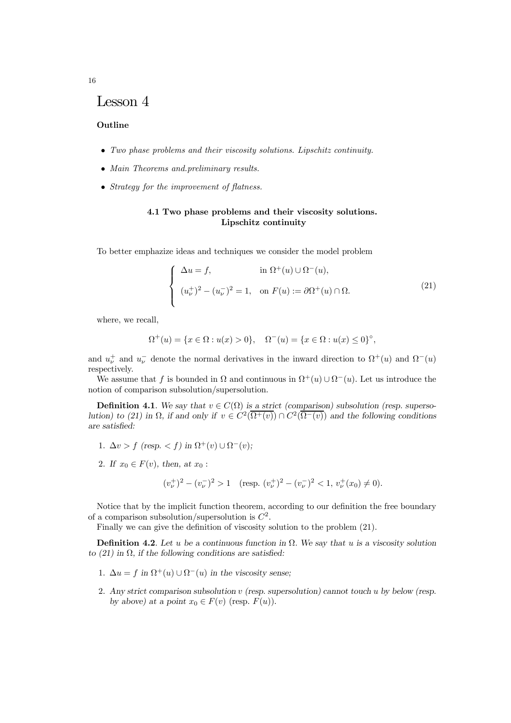## Lesson 4

#### Outline

- Two phase problems and their viscosity solutions. Lipschitz continuity.
- Main Theorems and preliminary results.
- Strategy for the improvement of flatness.

## 4.1 Two phase problems and their viscosity solutions. Lipschitz continuity

To better emphazize ideas and techniques we consider the model problem

$$
\begin{cases}\n\Delta u = f, & \text{in } \Omega^+(u) \cup \Omega^-(u), \\
(u_\nu^+)^2 - (u_\nu^-)^2 = 1, & \text{on } F(u) := \partial \Omega^+(u) \cap \Omega.\n\end{cases}
$$
\n(21)

where, we recall,

$$
\Omega^+(u) = \{ x \in \Omega : u(x) > 0 \}, \quad \Omega^-(u) = \{ x \in \Omega : u(x) \le 0 \}^\circ,
$$

and  $u_{\nu}^+$  and  $u_{\nu}^-$  denote the normal derivatives in the inward direction to  $\Omega^+(u)$  and  $\Omega^-(u)$ respectively.

We assume that f is bounded in  $\Omega$  and continuous in  $\Omega^+(u) \cup \Omega^-(u)$ . Let us introduce the notion of comparison subsolution/supersolution.

**Definition 4.1**. We say that  $v \in C(\Omega)$  is a strict (comparison) subsolution (resp. supersolution) to (21) in  $\Omega$ , if and only if  $v \in C^2(\overline{\Omega^+(v)}) \cap C^2(\overline{\Omega^-(v)})$  and the following conditions are satisfied:

- 1.  $\Delta v > f$  (resp. < f) in  $\Omega^+(v) \cup \Omega^-(v)$ ;
- 2. If  $x_0 \in F(v)$ , then, at  $x_0$ :

$$
(v_{\nu}^{+})^{2} - (v_{\nu}^{-})^{2} > 1 \quad (\text{resp. } (v_{\nu}^{+})^{2} - (v_{\nu}^{-})^{2} < 1, v_{\nu}^{+}(x_{0}) \neq 0).
$$

Notice that by the implicit function theorem, according to our definition the free boundary of a comparison subsolution/supersolution is  $C^2$ .

Finally we can give the definition of viscosity solution to the problem (21).

**Definition 4.2.** Let u be a continuous function in  $\Omega$ . We say that u is a viscosity solution to  $(21)$  in  $\Omega$ , if the following conditions are satisfied:

- 1.  $\Delta u = f$  in  $\Omega^+(u) \cup \Omega^-(u)$  in the viscosity sense;
- 2. Any strict comparison subsolution v (resp. supersolution) cannot touch u by below (resp. by above) at a point  $x_0 \in F(v)$  (resp.  $F(u)$ ).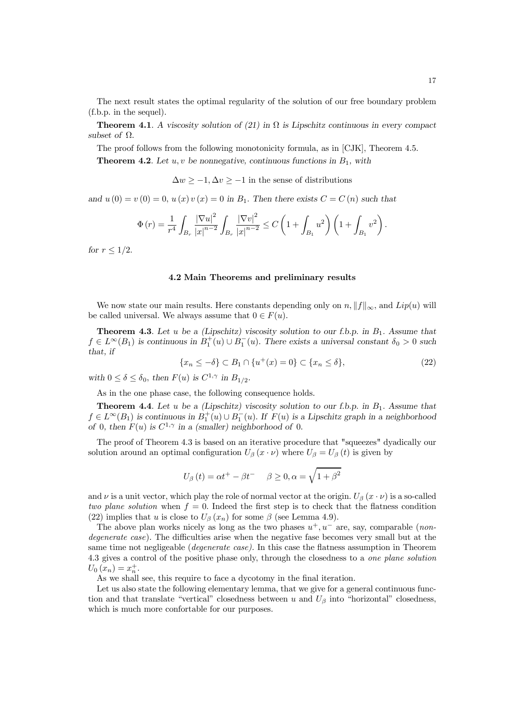The next result states the optimal regularity of the solution of our free boundary problem (f.b.p. in the sequel).

**Theorem 4.1.** A viscosity solution of (21) in  $\Omega$  is Lipschitz continuous in every compact subset of  $\Omega$ .

The proof follows from the following monotonicity formula, as in [CJK], Theorem 4.5.

**Theorem 4.2.** Let u, v be nonnegative, continuous functions in  $B_1$ , with

 $\Delta w \ge -1, \Delta v \ge -1$  in the sense of distributions

and  $u(0) = v(0) = 0$ ,  $u(x)v(x) = 0$  in  $B_1$ . Then there exists  $C = C(n)$  such that

$$
\Phi(r) = \frac{1}{r^4} \int_{B_r} \frac{|\nabla u|^2}{|x|^{n-2}} \int_{B_r} \frac{|\nabla v|^2}{|x|^{n-2}} \le C \left( 1 + \int_{B_1} u^2 \right) \left( 1 + \int_{B_1} v^2 \right).
$$

for  $r \leq 1/2$ .

#### 4.2 Main Theorems and preliminary results

We now state our main results. Here constants depending only on  $n, \|f\|_{\infty}$ , and  $Lip(u)$  will be called universal. We always assume that  $0 \in F(u)$ .

**Theorem 4.3**. Let u be a (Lipschitz) viscosity solution to our f.b.p. in  $B_1$ . Assume that  $f \in L^{\infty}(B_1)$  is continuous in  $B_1^+(u) \cup B_1^$  $i_1^-(u)$ . There exists a universal constant  $\delta_0 > 0$  such that, if

$$
\{x_n \le -\delta\} \subset B_1 \cap \{u^+(x) = 0\} \subset \{x_n \le \delta\},\tag{22}
$$

with  $0 \le \delta \le \delta_0$ , then  $F(u)$  is  $C^{1,\gamma}$  in  $B_{1/2}$ .

As in the one phase case, the following consequence holds.

**Theorem 4.4.** Let u be a (Lipschitz) viscosity solution to our f.b.p. in  $B_1$ . Assume that  $f \in L^{\infty}(B_1)$  is continuous in  $B_1^+(u) \cup B_1^ \overline{1}(u)$ . If  $F(u)$  is a Lipschitz graph in a neighborhood of 0, then  $F(u)$  is  $C^{1,\gamma}$  in a (smaller) neighborhood of 0.

The proof of Theorem 4.3 is based on an iterative procedure that "squeezes" dyadically our solution around an optimal configuration  $U_\beta(x \cdot \nu)$  where  $U_\beta = U_\beta(t)$  is given by

$$
U_{\beta}(t)=\alpha t^{+}-\beta t^{-} \hspace{0.2in} \beta \geq 0, \alpha=\sqrt{1+\beta^{2}}
$$

and  $\nu$  is a unit vector, which play the role of normal vector at the origin.  $U_\beta(x \cdot \nu)$  is a so-called two plane solution when  $f = 0$ . Indeed the first step is to check that the flatness condition (22) implies that u is close to  $U_{\beta}(x_n)$  for some  $\beta$  (see Lemma 4.9).

The above plan works nicely as long as the two phases  $u^+, u^-$  are, say, comparable (*non*degenerate case). The difficulties arise when the negative fase becomes very small but at the same time not negligeable (*degenerate case*). In this case the flatness assumption in Theorem 4.3 gives a control of the positive phase only, through the closedness to a one plane solution  $U_0(x_n) = x_n^+$ .

As we shall see, this require to face a dycotomy in the final iteration.

Let us also state the following elementary lemma, that we give for a general continuous function and that translate "vertical" closedness between u and  $U_\beta$  into "horizontal" closedness, which is much more confortable for our purposes.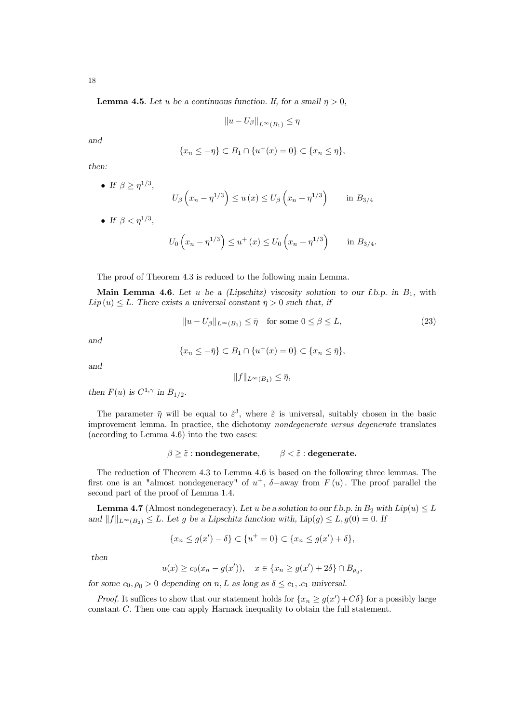18

**Lemma 4.5**. Let u be a continuous function. If, for a small  $\eta > 0$ ,

$$
||u - U_{\beta}||_{L^{\infty}(B_1)} \le \eta
$$

and

$$
\{x_n \leq -\eta\} \subset B_1 \cap \{u^+(x) = 0\} \subset \{x_n \leq \eta\},\
$$

then:

• If 
$$
\beta \ge \eta^{1/3}
$$
,  
\n $U_{\beta}\left(x_n - \eta^{1/3}\right) \le u(x) \le U_{\beta}\left(x_n + \eta^{1/3}\right)$  in  $B_{3/4}$ 

• If  $\beta < \eta^{1/3}$ ,

$$
U_0\n\left(x_n - \eta^{1/3}\right) \leq u^+(x) \leq U_0\left(x_n + \eta^{1/3}\right)
$$
 in  $B_{3/4}$ .

The proof of Theorem 4.3 is reduced to the following main Lemma.

Main Lemma 4.6. Let u be a (Lipschitz) viscosity solution to our f.b.p. in  $B_1$ , with  $Lip(u) \leq L$ . There exists a universal constant  $\bar{\eta} > 0$  such that, if

$$
||u - U_{\beta}||_{L^{\infty}(B_1)} \leq \bar{\eta} \quad \text{for some } 0 \leq \beta \leq L,
$$
\n(23)

and

$$
\{x_n \leq -\overline{\eta}\} \subset B_1 \cap \{u^+(x) = 0\} \subset \{x_n \leq \overline{\eta}\},\
$$

and

$$
||f||_{L^{\infty}(B_1)} \leq \bar{\eta},
$$

then  $F(u)$  is  $C^{1,\gamma}$  in  $B_{1/2}$ .

The parameter  $\bar{\eta}$  will be equal to  $\tilde{\epsilon}^3$ , where  $\tilde{\epsilon}$  is universal, suitably chosen in the basic improvement lemma. In practice, the dichotomy nondegenerate versus degenerate translates (according to Lemma 4.6) into the two cases:

$$
\beta \geq \tilde{\varepsilon} : \mathbf{nondegenerate}, \qquad \beta < \tilde{\varepsilon} : \mathbf{degenerate}.
$$

The reduction of Theorem 4.3 to Lemma 4.6 is based on the following three lemmas. The first one is an "almost nondegeneracy" of  $u^+$ ,  $\delta$ -away from  $F(u)$ . The proof parallel the second part of the proof of Lemma 1.4.

**Lemma 4.7** (Almost nondegeneracy). Let u be a solution to our f.b.p. in  $B_2$  with  $Lip(u) \leq L$ and  $||f||_{L^{\infty}(B_2)} \leq L$ . Let g be a Lipschitz function with,  $\text{Lip}(g) \leq L$ ,  $g(0) = 0$ . If

$$
\{x_n \le g(x') - \delta\} \subset \{u^+ = 0\} \subset \{x_n \le g(x') + \delta\},\
$$

then

$$
u(x) \ge c_0(x_n - g(x'))
$$
,  $x \in \{x_n \ge g(x') + 2\delta\} \cap B_{\rho_0}$ ,

for some  $c_0, \rho_0 > 0$  depending on n, L as long as  $\delta \leq c_1, c_1$  universal.

*Proof.* It suffices to show that our statement holds for  $\{x_n \ge g(x') + C\delta\}$  for a possibly large constant C. Then one can apply Harnack inequality to obtain the full statement.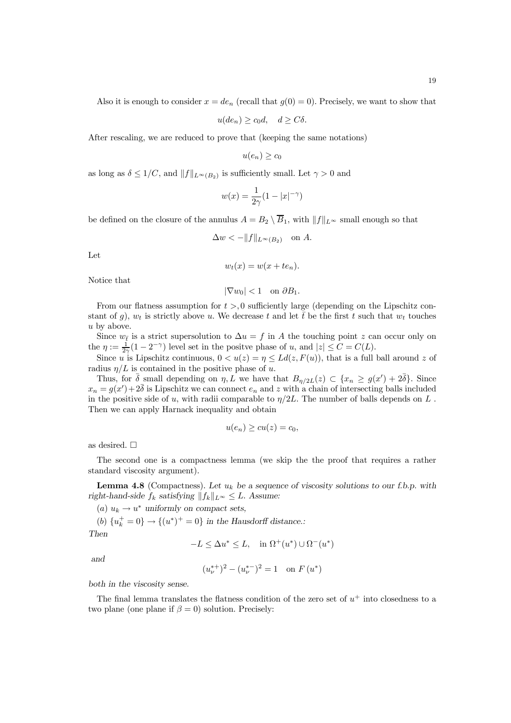Also it is enough to consider  $x = de_n$  (recall that  $g(0) = 0$ ). Precisely, we want to show that

$$
u(de_n) \ge c_0 d, \quad d \ge C\delta.
$$

After rescaling, we are reduced to prove that (keeping the same notations)

$$
u(e_n) \ge c_0
$$

as long as  $\delta \leq 1/C$ , and  $||f||_{L^{\infty}(B_2)}$  is sufficiently small. Let  $\gamma > 0$  and

$$
w(x) = \frac{1}{2\gamma}(1 - |x|^{-\gamma})
$$

be defined on the closure of the annulus  $A = B_2 \setminus \overline{B}_1$ , with  $||f||_{L^{\infty}}$  small enough so that

$$
\Delta w < -\|f\|_{L^\infty(B_2)} \quad \text{on } A.
$$

Let

$$
w_t(x) = w(x + te_n).
$$

Notice that

 $|\nabla w_0|$  < 1 on  $\partial B_1$ .

From our flatness assumption for  $t > 0$  sufficiently large (depending on the Lipschitz constant of g),  $w_t$  is strictly above u. We decrease t and let  $\bar{t}$  be the first t such that  $w_t$  touches u by above.

Since  $w_{\bar{t}}$  is a strict supersolution to  $\Delta u = f$  in A the touching point z can occur only on the  $\eta := \frac{1}{2\gamma}(1 - 2^{-\gamma})$  level set in the positve phase of u, and  $|z| \leq C = C(L)$ .

Since u is Lipschitz continuous,  $0 < u(z) = \eta \le L d(z, F(u))$ , that is a full ball around z of radius  $\eta/L$  is contained in the positive phase of u.

Thus, for  $\bar{\delta}$  small depending on  $\eta$ , L we have that  $B_{\eta/2L}(z) \subset \{x_n \ge g(x') + 2\bar{\delta}\}\.$  Since  $x_n = g(x') + 2\overline{\delta}$  is Lipschitz we can connect  $e_n$  and z with a chain of intersecting balls included in the positive side of u, with radii comparable to  $\eta/2L$ . The number of balls depends on L. Then we can apply Harnack inequality and obtain

$$
u(e_n) \ge cu(z) = c_0,
$$

as desired.  $\Box$ 

The second one is a compactness lemma (we skip the the proof that requires a rather standard viscosity argument).

**Lemma 4.8** (Compactness). Let  $u_k$  be a sequence of viscosity solutions to our f.b.p. with right-hand-side  $f_k$  satisfying  $||f_k||_{L^{\infty}} \leq L$ . Assume:

(a)  $u_k \to u^*$  uniformly on compact sets,

(b)  $\{u_k^+ = 0\} \rightarrow \{(u^*)^+ = 0\}$  in the Hausdorff distance.: Then

$$
-L \le \Delta u^* \le L, \quad \text{in } \Omega^+(u^*) \cup \Omega^-(u^*)
$$

and

$$
(u_{\nu}^{*+})^2 - (u_{\nu}^{*-})^2 = 1 \quad \text{on } F(u^*)
$$

both in the viscosity sense.

The final lemma translates the flatness condition of the zero set of  $u^+$  into closedness to a two plane (one plane if  $\beta = 0$ ) solution. Precisely: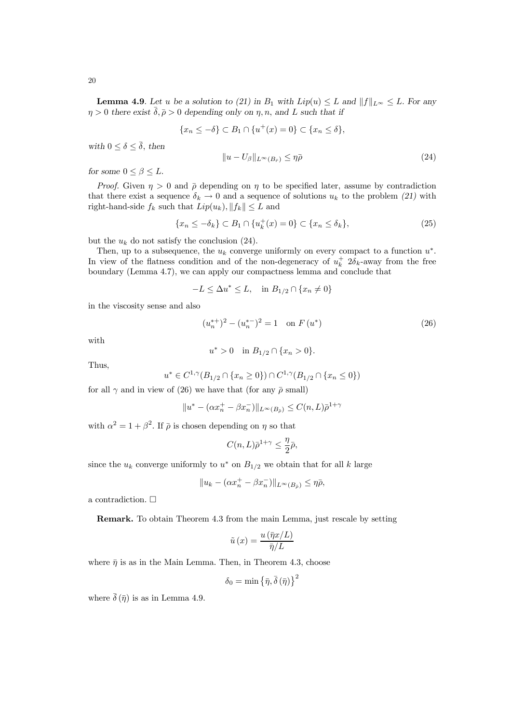**Lemma 4.9**. Let u be a solution to (21) in  $B_1$  with  $Lip(u) \leq L$  and  $||f||_{L^{\infty}} \leq L$ . For any  $\eta > 0$  there exist  $\overline{\delta}, \overline{\rho} > 0$  depending only on  $\eta, n$ , and L such that if

$$
\{x_n \le -\delta\} \subset B_1 \cap \{u^+(x) = 0\} \subset \{x_n \le \delta\},\
$$

with  $0 \leq \delta \leq \overline{\delta}$ , then

$$
||u - U_{\beta}||_{L^{\infty}(B_{\bar{r}})} \leq \eta \bar{\rho}
$$
\n(24)

for some  $0 \leq \beta \leq L$ .

*Proof.* Given  $\eta > 0$  and  $\bar{\rho}$  depending on  $\eta$  to be specified later, assume by contradiction that there exist a sequence  $\delta_k \to 0$  and a sequence of solutions  $u_k$  to the problem (21) with right-hand-side  $f_k$  such that  $Lip(u_k)$ ,  $||f_k|| \leq L$  and

$$
\{x_n \le -\delta_k\} \subset B_1 \cap \{u_k^+(x) = 0\} \subset \{x_n \le \delta_k\},\tag{25}
$$

but the  $u_k$  do not satisfy the conclusion (24).

Then, up to a subsequence, the  $u_k$  converge uniformly on every compact to a function  $u^*$ . In view of the flatness condition and of the non-degeneracy of  $u_k^+$  2 $\delta_k$ -away from the free boundary (Lemma 4.7), we can apply our compactness lemma and conclude that

$$
-L \le \Delta u^* \le L, \quad \text{in } B_{1/2} \cap \{x_n \neq 0\}
$$

in the viscosity sense and also

$$
(u_n^{*+})^2 - (u_n^{*-})^2 = 1 \quad \text{on } F(u^*)
$$
\n(26)

with

$$
u^* > 0 \quad \text{in } B_{1/2} \cap \{x_n > 0\}.
$$

Thus,

$$
u^* \in C^{1,\gamma}(B_{1/2} \cap \{x_n \ge 0\}) \cap C^{1,\gamma}(B_{1/2} \cap \{x_n \le 0\})
$$

for all  $\gamma$  and in view of (26) we have that (for any  $\bar{\rho}$  small)

$$
||u^* - (\alpha x_n^+ - \beta x_n^-)||_{L^\infty(B_{\bar{\rho}})} \leq C(n, L)\bar{\rho}^{1+\gamma}
$$

with  $\alpha^2 = 1 + \beta^2$ . If  $\bar{\rho}$  is chosen depending on  $\eta$  so that

$$
C(n,L)\bar{\rho}^{1+\gamma}\leq \frac{\eta}{2}\bar{\rho},
$$

since the  $u_k$  converge uniformly to  $u^*$  on  $B_{1/2}$  we obtain that for all k large

$$
\|u_k-(\alpha x_n^+-\beta x_n^-)\|_{L^\infty(B_{\bar{\rho}})}\leq\eta\bar{\rho},
$$

a contradiction.  $\Box$ 

Remark. To obtain Theorem 4.3 from the main Lemma, just rescale by setting

$$
\tilde{u}(x) = \frac{u(\bar{\eta}x/L)}{\bar{\eta}/L}
$$

where  $\bar{\eta}$  is as in the Main Lemma. Then, in Theorem 4.3, choose

$$
\delta_0 = \min \left\{ \bar{\eta}, \bar{\delta} \left( \bar{\eta} \right) \right\}^2
$$

where  $\bar{\delta}(\bar{n})$  is as in Lemma 4.9.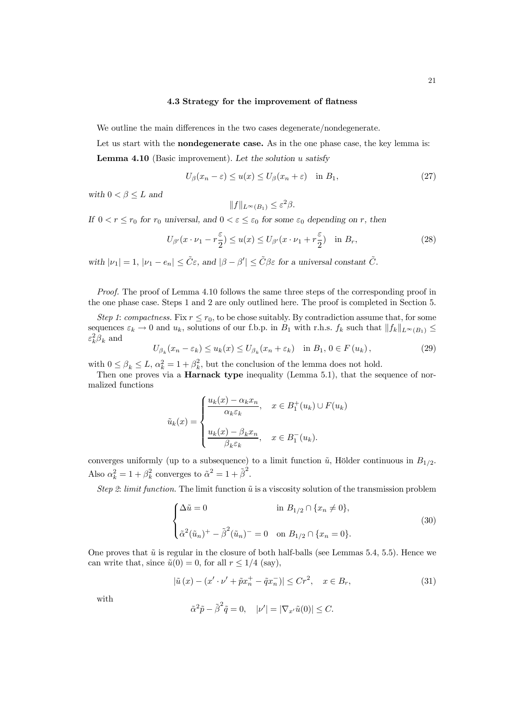## 4.3 Strategy for the improvement of flatness

We outline the main differences in the two cases degenerate/nondegenerate.

Let us start with the **nondegenerate case**. As in the one phase case, the key lemma is: **Lemma 4.10** (Basic improvement). Let the solution  $u$  satisfy

$$
U_{\beta}(x_n - \varepsilon) \le u(x) \le U_{\beta}(x_n + \varepsilon) \quad \text{in } B_1,\tag{27}
$$

with  $0 < \beta \leq L$  and

$$
||f||_{L^{\infty}(B_1)} \leq \varepsilon^2 \beta.
$$

If  $0 < r \le r_0$  for  $r_0$  universal, and  $0 < \varepsilon \le \varepsilon_0$  for some  $\varepsilon_0$  depending on r, then

$$
U_{\beta'}(x \cdot \nu_1 - r\frac{\varepsilon}{2}) \le u(x) \le U_{\beta'}(x \cdot \nu_1 + r\frac{\varepsilon}{2}) \quad \text{in } B_r,\tag{28}
$$

with  $|\nu_1| = 1$ ,  $|\nu_1 - e_n| \leq \tilde{C}\varepsilon$ , and  $|\beta - \beta'| \leq \tilde{C}\beta\varepsilon$  for a universal constant  $\tilde{C}$ .

Proof. The proof of Lemma 4.10 follows the same three steps of the corresponding proof in the one phase case. Steps 1 and 2 are only outlined here. The proof is completed in Section 5.

Step 1: compactness. Fix  $r \le r_0$ , to be chose suitably. By contradiction assume that, for some sequences  $\varepsilon_k \to 0$  and  $u_k$ , solutions of our f.b.p. in  $B_1$  with r.h.s.  $f_k$  such that  $||f_k||_{L^\infty(B_1)} \le$  $\varepsilon_k^2 \beta_k$  and

$$
U_{\beta_k}(x_n - \varepsilon_k) \le u_k(x) \le U_{\beta_k}(x_n + \varepsilon_k) \quad \text{in } B_1, \, 0 \in F(u_k), \tag{29}
$$

with  $0 \le \beta_k \le L$ ,  $\alpha_k^2 = 1 + \beta_k^2$ , but the conclusion of the lemma does not hold.

Then one proves via a **Harnack type** inequality (Lemma 5.1), that the sequence of normalized functions

$$
\tilde{u}_k(x) = \begin{cases}\n\frac{u_k(x) - \alpha_k x_n}{\alpha_k \varepsilon_k}, & x \in B_1^+(u_k) \cup F(u_k) \\
\frac{u_k(x) - \beta_k x_n}{\beta_k \varepsilon_k}, & x \in B_1^-(u_k).\n\end{cases}
$$

converges uniformly (up to a subsequence) to a limit function  $\tilde{u}$ , Hölder continuous in  $B_{1/2}$ . Also  $\alpha_k^2 = 1 + \beta_k^2$  converges to  $\tilde{\alpha}^2 = 1 + \tilde{\beta}^2$ .

Step 2: limit function. The limit function  $\tilde{u}$  is a viscosity solution of the transmission problem

$$
\begin{cases} \Delta \tilde{u} = 0 & \text{in } B_{1/2} \cap \{x_n \neq 0\}, \\ \tilde{\alpha}^2 (\tilde{u}_n)^+ - \tilde{\beta}^2 (\tilde{u}_n)^- = 0 & \text{on } B_{1/2} \cap \{x_n = 0\}. \end{cases}
$$
(30)

One proves that  $\tilde{u}$  is regular in the closure of both half-balls (see Lemmas 5.4, 5.5). Hence we can write that, since  $\tilde{u}(0) = 0$ , for all  $r \leq 1/4$  (say),

$$
\left|\tilde{u}\left(x\right) - \left(x' \cdot \nu' + \tilde{p}x_n^+ - \tilde{q}x_n^-\right)\right| \le Cr^2, \quad x \in B_r,\tag{31}
$$

with

$$
\tilde{\alpha}^2 \tilde{p} - \tilde{\beta}^2 \tilde{q} = 0, \quad |\nu'| = |\nabla_{x'} \tilde{u}(0)| \le C.
$$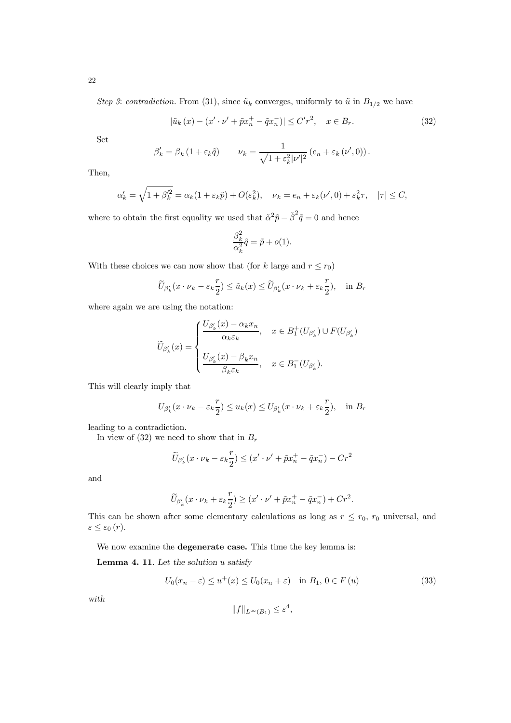Step 3: contradiction. From (31), since  $\tilde{u}_k$  converges, uniformly to  $\tilde{u}$  in  $B_{1/2}$  we have

$$
|\tilde{u}_k(x) - (x' \cdot \nu' + \tilde{p}x_n^+ - \tilde{q}x_n^-)| \le C'r^2, \quad x \in B_r.
$$
 (32)

Set

$$
\beta'_{k} = \beta_{k} \left( 1 + \varepsilon_{k} \tilde{q} \right) \qquad \nu_{k} = \frac{1}{\sqrt{1 + \varepsilon_{k}^{2} |\nu'|^{2}}} \left( e_{n} + \varepsilon_{k} \left( \nu', 0 \right) \right).
$$

Then,

$$
\alpha'_k = \sqrt{1 + \beta'^2_k} = \alpha_k (1 + \varepsilon_k \tilde{p}) + O(\varepsilon_k^2), \quad \nu_k = e_n + \varepsilon_k (\nu', 0) + \varepsilon_k^2 \tau, \quad |\tau| \le C,
$$

where to obtain the first equality we used that  $\tilde{\alpha}^2 \tilde{p} - \tilde{\beta}^2 \tilde{q} = 0$  and hence

$$
\frac{\beta_k^2}{\alpha_k^2}\tilde{q} = \tilde{p} + o(1).
$$

With these choices we can now show that (for k large and  $r \le r_0$ )

$$
\widetilde{U}_{\beta'_k}(x \cdot \nu_k - \varepsilon_k \frac{r}{2}) \leq \widetilde{u}_k(x) \leq \widetilde{U}_{\beta'_k}(x \cdot \nu_k + \varepsilon_k \frac{r}{2}), \text{ in } B_r
$$

where again we are using the notation:

$$
\widetilde{U}_{\beta'_k}(x) = \begin{cases}\n\frac{U_{\beta'_k}(x) - \alpha_k x_n}{\alpha_k \varepsilon_k}, & x \in B_1^+(U_{\beta'_k}) \cup F(U_{\beta'_k}) \\
\frac{U_{\beta'_k}(x) - \beta_k x_n}{\beta_k \varepsilon_k}, & x \in B_1^-(U_{\beta'_k}).\n\end{cases}
$$

This will clearly imply that

$$
U_{\beta'_k}(x \cdot \nu_k - \varepsilon_k \frac{r}{2}) \le u_k(x) \le U_{\beta'_k}(x \cdot \nu_k + \varepsilon_k \frac{r}{2}), \quad \text{in } B_r
$$

leading to a contradiction.

In view of (32) we need to show that in  $B_r$ 

$$
\widetilde{U}_{\beta_k'}(x \cdot \nu_k - \varepsilon_k \frac{r}{2}) \le (x' \cdot \nu' + \widetilde{p}x_n^+ - \widetilde{q}x_n^-) - Cr^2
$$

and

$$
\widetilde{U}_{\beta'_k}(x \cdot \nu_k + \varepsilon_k \frac{r}{2}) \ge (x' \cdot \nu' + \widetilde{p}x_n^+ - \widetilde{q}x_n^-) + Cr^2.
$$

This can be shown after some elementary calculations as long as  $r \leq r_0$ ,  $r_0$  universal, and  $\varepsilon \leq \varepsilon_0(r)$ .

We now examine the **degenerate case.** This time the key lemma is:

**Lemma 4. 11**. Let the solution  $u$  satisfy

$$
U_0(x_n - \varepsilon) \le u^+(x) \le U_0(x_n + \varepsilon) \quad \text{in } B_1, \, 0 \in F(u)
$$
\n
$$
(33)
$$

with

$$
||f||_{L^{\infty}(B_1)} \leq \varepsilon^4,
$$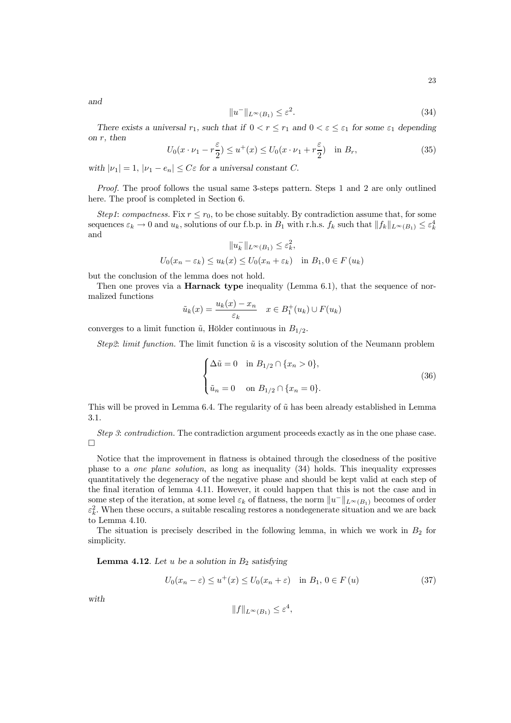and

$$
||u^-||_{L^{\infty}(B_1)} \le \varepsilon^2. \tag{34}
$$

There exists a universal  $r_1$ , such that if  $0 < r < r_1$  and  $0 < \varepsilon < \varepsilon_1$  for some  $\varepsilon_1$  depending on r, then

$$
U_0(x \cdot \nu_1 - r\frac{\varepsilon}{2}) \le u^+(x) \le U_0(x \cdot \nu_1 + r\frac{\varepsilon}{2}) \quad \text{in } B_r,\tag{35}
$$

with  $|\nu_1| = 1$ ,  $|\nu_1 - e_n| \leq C \varepsilon$  for a universal constant C.

Proof. The proof follows the usual same 3-steps pattern. Steps 1 and 2 are only outlined here. The proof is completed in Section 6.

Step1: compactness. Fix  $r \leq r_0$ , to be chose suitably. By contradiction assume that, for some sequences  $\varepsilon_k \to 0$  and  $u_k$ , solutions of our f.b.p. in  $B_1$  with r.h.s.  $f_k$  such that  $||f_k||_{L^\infty(B_1)} \leq \varepsilon_k^4$ and

$$
||u_k^-||_{L^{\infty}(B_1)} \le \varepsilon_k^2,
$$
  

$$
U_0(x_n - \varepsilon_k) \le u_k(x) \le U_0(x_n + \varepsilon_k) \quad \text{in } B_1, 0 \in F(u_k)
$$

but the conclusion of the lemma does not hold.

Then one proves via a **Harnack type** inequality (Lemma 6.1), that the sequence of normalized functions

$$
\tilde{u}_k(x) = \frac{u_k(x) - x_n}{\varepsilon_k} \quad x \in B_1^+(u_k) \cup F(u_k)
$$

converges to a limit function  $\tilde{u}$ , Hölder continuous in  $B_{1/2}$ .

Step2: limit function. The limit function  $\tilde{u}$  is a viscosity solution of the Neumann problem

$$
\begin{cases} \Delta \tilde{u} = 0 & \text{in } B_{1/2} \cap \{x_n > 0\}, \\ \tilde{u}_n = 0 & \text{on } B_{1/2} \cap \{x_n = 0\}. \end{cases}
$$
 (36)

This will be proved in Lemma 6.4. The regularity of  $\tilde{u}$  has been already established in Lemma 3.1.

Step 3: contradiction. The contradiction argument proceeds exactly as in the one phase case.  $\Box$ 

Notice that the improvement in flatness is obtained through the closedness of the positive phase to a one plane solution, as long as inequality (34) holds. This inequality expresses quantitatively the degeneracy of the negative phase and should be kept valid at each step of the final iteration of lemma 4.11. However, it could happen that this is not the case and in some step of the iteration, at some level  $\varepsilon_k$  of flatness, the norm  $||u^-||_{L^\infty(B_1)}$  becomes of order  $\varepsilon_k^2$ . When these occurs, a suitable rescaling restores a nondegenerate situation and we are back to Lemma 4.10.

The situation is precisely described in the following lemma, in which we work in  $B_2$  for simplicity.

**Lemma 4.12.** Let u be a solution in  $B_2$  satisfying

$$
U_0(x_n - \varepsilon) \le u^+(x) \le U_0(x_n + \varepsilon) \quad \text{in } B_1, \ 0 \in F(u)
$$
\n
$$
(37)
$$

,

with

$$
||f||_{L^{\infty}(B_1)} \leq \varepsilon^4
$$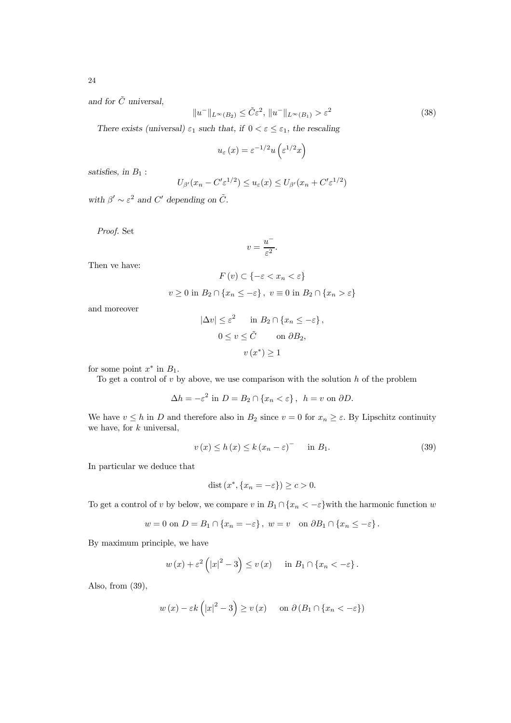and for  $\tilde{C}$  universal.

$$
||u^-||_{L^{\infty}(B_2)} \leq \tilde{C}\varepsilon^2, ||u^-||_{L^{\infty}(B_1)} > \varepsilon^2
$$
\n(38)

There exists (universal)  $\varepsilon_1$  such that, if  $0 < \varepsilon \leq \varepsilon_1$ , the rescaling

$$
u_{\varepsilon}\left(x\right) = \varepsilon^{-1/2} u\left(\varepsilon^{1/2} x\right)
$$

satisfies, in  $\mathcal{B}_1$  :

$$
U_{\beta'}(x_n - C' \varepsilon^{1/2}) \le u_{\varepsilon}(x) \le U_{\beta'}(x_n + C' \varepsilon^{1/2})
$$

with  $\beta' \sim \varepsilon^2$  and C' depending on  $\tilde{C}$ .

Proof. Set

$$
v = \frac{u^-}{\varepsilon^2}.
$$

Then ve have:

$$
F(v) \subset \{-\varepsilon < x_n < \varepsilon\}
$$
\n
$$
v \ge 0 \text{ in } B_2 \cap \{x_n \le -\varepsilon\}, \ v \equiv 0 \text{ in } B_2 \cap \{x_n > \varepsilon\}
$$

and moreover

$$
|\Delta v| \le \varepsilon^2 \quad \text{in } B_2 \cap \{x_n \le -\varepsilon\},
$$
  
 
$$
0 \le v \le \tilde{C} \quad \text{on } \partial B_2,
$$
  
 
$$
v(x^*) \ge 1
$$

for some point  $x^*$  in  $B_1$ .

To get a control of  $v$  by above, we use comparison with the solution  $h$  of the problem

$$
\Delta h = -\varepsilon^2 \text{ in } D = B_2 \cap \{x_n < \varepsilon\}, \ \ h = v \text{ on } \partial D.
$$

We have  $v \leq h$  in D and therefore also in  $B_2$  since  $v = 0$  for  $x_n \geq \varepsilon$ . By Lipschitz continuity we have, for  $k$  universal,

$$
v(x) \le h(x) \le k(x_n - \varepsilon)^{-} \quad \text{in } B_1. \tag{39}
$$

In particular we deduce that

$$
dist(x^*, \{x_n = -\varepsilon\}) \ge c > 0.
$$

To get a control of v by below, we compare v in  $B_1 \cap \{x_n < -\varepsilon\}$  with the harmonic function w

$$
w = 0
$$
 on  $D = B_1 \cap \{x_n = -\varepsilon\}$ ,  $w = v$  on  $\partial B_1 \cap \{x_n \leq -\varepsilon\}$ .

By maximum principle, we have

$$
w(x) + \varepsilon^2 (|x|^2 - 3) \le v(x)
$$
 in  $B_1 \cap \{x_n < -\varepsilon\}.$ 

Also, from (39),

$$
w(x) - \varepsilon k (|x|^2 - 3) \ge v(x)
$$
 on  $\partial (B_1 \cap \{x_n < -\varepsilon\})$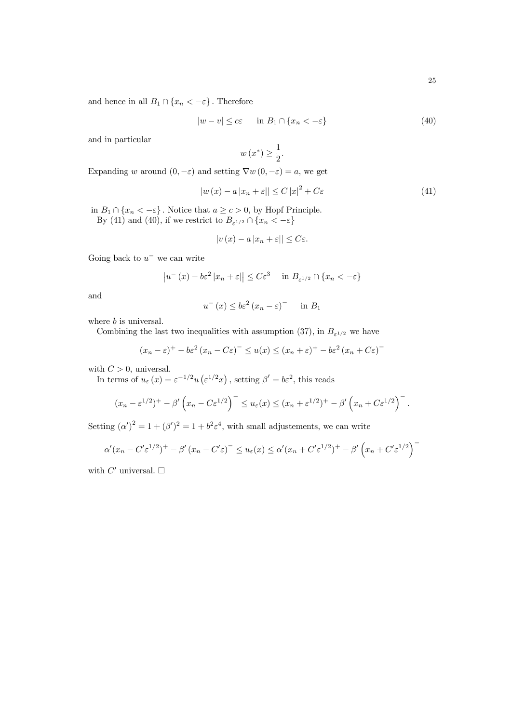and hence in all  $B_1 \cap \{x_n < -\varepsilon\}$ . Therefore

$$
|w - v| \leq c\varepsilon \quad \text{in } B_1 \cap \{x_n < -\varepsilon\} \tag{40}
$$

and in particular

$$
w\left(x^*\right) \ge \frac{1}{2}.
$$

Expanding w around  $(0, -\varepsilon)$  and setting  $\nabla w(0, -\varepsilon) = a$ , we get

$$
|w(x) - a|x_n + \varepsilon|| \le C|x|^2 + C\varepsilon
$$
\n(41)

−

in  $B_1 \cap \{x_n < -\varepsilon\}$ . Notice that  $a \ge c > 0$ , by Hopf Principle. By (41) and (40), if we restrict to  $B_{\varepsilon^{1/2}} \cap \{x_n < -\varepsilon\}$ 

$$
|v(x) - a|x_n + \varepsilon|| \leq C\varepsilon.
$$

Going back to  $u^-$  we can write

$$
\left|u^{-}\left(x\right)-b\varepsilon^{2}\left|x_{n}+\varepsilon\right|\right| \leq C\varepsilon^{3} \quad \text{ in } B_{\varepsilon^{1/2}} \cap \{x_{n} < -\varepsilon\}
$$

and

$$
u^{-}(x) \le b\varepsilon^{2} (x_{n} - \varepsilon)^{-} \quad \text{in } B_{1}
$$

where *b* is universal.

Combining the last two inequalities with assumption (37), in  $B_{\varepsilon^{1/2}}$  we have

$$
(x_n - \varepsilon)^+ - b\varepsilon^2 (x_n - C\varepsilon)^- \le u(x) \le (x_n + \varepsilon)^+ - b\varepsilon^2 (x_n + C\varepsilon)
$$

with  $C > 0$ , universal.

In terms of  $u_{\varepsilon}(x) = \varepsilon^{-1/2} u(\varepsilon^{1/2} x)$ , setting  $\beta' = b\varepsilon^2$ , this reads

$$
(x_n - \varepsilon^{1/2})^+ - \beta' \left( x_n - C \varepsilon^{1/2} \right)^- \leq u_{\varepsilon}(x) \leq (x_n + \varepsilon^{1/2})^+ - \beta' \left( x_n + C \varepsilon^{1/2} \right)^-.
$$

Setting  $(\alpha')^2 = 1 + (\beta')^2 = 1 + b^2 \varepsilon^4$ , with small adjustements, we can write

$$
\alpha'(x_n - C'\varepsilon^{1/2})^+ - \beta'(x_n - C'\varepsilon)^- \le u_\varepsilon(x) \le \alpha'(x_n + C'\varepsilon^{1/2})^+ - \beta'\left(x_n + C'\varepsilon^{1/2}\right)^-
$$

with  $C'$  universal.  $\Box$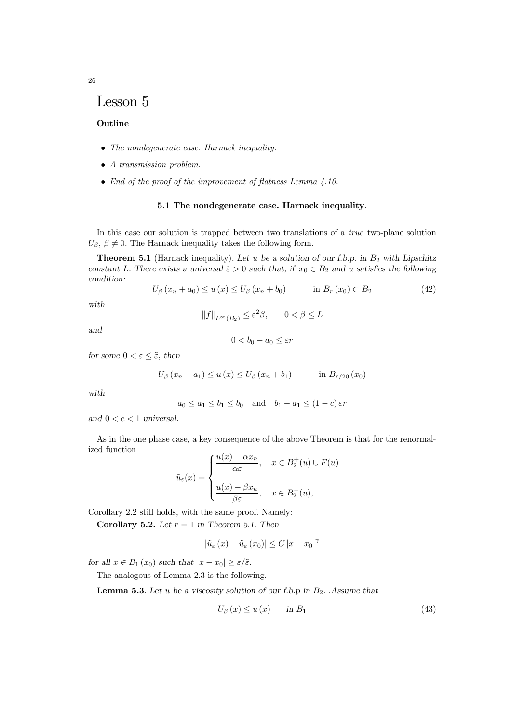# Lesson 5

## **Outline**

- The nondegenerate case. Harnack inequality.
- A transmission problem.
- End of the proof of the improvement of flatness Lemma 4.10.

#### 5.1 The nondegenerate case. Harnack inequality.

In this case our solution is trapped between two translations of a true two-plane solution  $U_{\beta}$ ,  $\beta \neq 0$ . The Harnack inequality takes the following form.

**Theorem 5.1** (Harnack inequality). Let u be a solution of our f.b.p. in  $B_2$  with Lipschitz constant L. There exists a universal  $\tilde{\varepsilon} > 0$  such that, if  $x_0 \in B_2$  and u satisfies the following condition:

$$
U_{\beta}(x_n + a_0) \le u(x) \le U_{\beta}(x_n + b_0) \qquad \text{in } B_r(x_0) \subset B_2 \tag{42}
$$

with

$$
||f||_{L^{\infty}(B_2)} \le \varepsilon^2 \beta, \qquad 0 < \beta \le L
$$

and

$$
0 < b_0 - a_0 \leq \varepsilon r
$$

for some  $0 < \varepsilon \leq \tilde{\varepsilon}$ , then

$$
U_{\beta}(x_n + a_1) \le u(x) \le U_{\beta}(x_n + b_1)
$$
 in  $B_{r/20}(x_0)$ 

with

$$
a_0 \le a_1 \le b_1 \le b_0
$$
 and  $b_1 - a_1 \le (1 - c) \varepsilon r$ 

and  $0 < c < 1$  universal.

As in the one phase case, a key consequence of the above Theorem is that for the renormalized function

$$
\tilde{u}_{\varepsilon}(x) = \begin{cases}\n\frac{u(x) - \alpha x_n}{\alpha \varepsilon}, & x \in B_2^+(u) \cup F(u) \\
\frac{u(x) - \beta x_n}{\beta \varepsilon}, & x \in B_2^-(u),\n\end{cases}
$$

Corollary 2.2 still holds, with the same proof. Namely:

Corollary 5.2. Let  $r = 1$  in Theorem 5.1. Then

$$
\left|\tilde{u}_{\varepsilon}\left(x\right)-\tilde{u}_{\varepsilon}\left(x_{0}\right)\right| \leq C\left|x-x_{0}\right|^{\gamma}
$$

for all  $x \in B_1(x_0)$  such that  $|x - x_0| \ge \varepsilon/\tilde{\varepsilon}$ .

The analogous of Lemma 2.3 is the following.

**Lemma 5.3**. Let u be a viscosity solution of our f.b.p in  $B_2$ . Assume that

$$
U_{\beta}(x) \le u(x) \qquad \text{in } B_1 \tag{43}
$$

26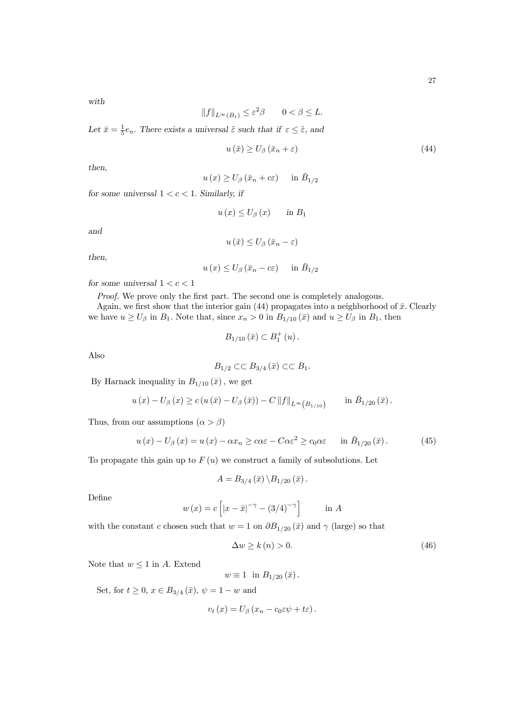with

$$
||f||_{L^{\infty}(B_1)} \leq \varepsilon^2 \beta \qquad 0 < \beta \leq L.
$$

Let  $\bar{x} = \frac{1}{5}e_n$ . There exists a universal  $\tilde{\varepsilon}$  such that if  $\varepsilon \leq \tilde{\varepsilon}$ , and

$$
u(\bar{x}) \ge U_{\beta}(\bar{x}_n + \varepsilon) \tag{44}
$$

then,

$$
u(x) \ge U_{\beta}(\bar{x}_n + c\varepsilon) \quad \text{in } \bar{B}_{1/2}
$$

for some universal  $1 < c < 1$ . Similarly, if

$$
u(x) \le U_{\beta}(x) \quad \text{in } B_1
$$

and

$$
u(\bar{x}) \le U_{\beta}(\bar{x}_n - \varepsilon)
$$

then,

$$
u(x) \leq U_{\beta} (\bar{x}_n - c\varepsilon)
$$
 in  $\bar{B}_{1/2}$ 

for some universal  $1 < c < 1$ 

Proof. We prove only the first part. The second one is completely analogous.

Again, we first show that the interior gain (44) propagates into a neighborhood of  $\bar{x}$ . Clearly we have  $u \ge U_\beta$  in  $B_1$ . Note that, since  $x_n > 0$  in  $B_{1/10}(\bar{x})$  and  $u \ge U_\beta$  in  $B_1$ , then

$$
B_{1/10}\left( \bar{x}\right) \subset B_{1}^{+}\left( u\right) .
$$

Also

$$
B_{1/2} \subset\subset B_{3/4}(\bar{x}) \subset\subset B_1.
$$

By Harnack inequality in  $B_{1/10}(\bar{x})$ , we get

$$
u(x) - U_{\beta}(x) \ge c(u(\bar{x}) - U_{\beta}(\bar{x})) - C ||f||_{L^{\infty}(B_{1/10})} \quad \text{in } \bar{B}_{1/20}(\bar{x}).
$$

Thus, from our assumptions  $(\alpha > \beta)$ 

$$
u(x) - U_{\beta}(x) = u(x) - \alpha x_n \ge \alpha \varepsilon - C \alpha \varepsilon^2 \ge c_0 \alpha \varepsilon \quad \text{in } \bar{B}_{1/20}(\bar{x}). \tag{45}
$$

To propagate this gain up to  $F(u)$  we construct a family of subsolutions. Let

$$
A = B_{3/4}(\bar{x}) \, \backslash B_{1/20}(\bar{x}).
$$

Define

$$
w(x) = c [ |x - \bar{x}|^{-\gamma} - (3/4)^{-\gamma} ]
$$
 in A

with the constant c chosen such that  $w = 1$  on  $\partial B_{1/20}(\bar{x})$  and  $\gamma$  (large) so that

$$
\Delta w \ge k\left(n\right) > 0.\tag{46}
$$

Note that  $w \leq 1$  in A. Extend

$$
w \equiv 1 \text{ in } B_{1/20}(\bar{x}).
$$

Set, for  $t \ge 0$ ,  $x \in B_{3/4}(\bar{x})$ ,  $\psi = 1 - w$  and

$$
v_t(x) = U_\beta (x_n - c_0 \varepsilon \psi + t\varepsilon)
$$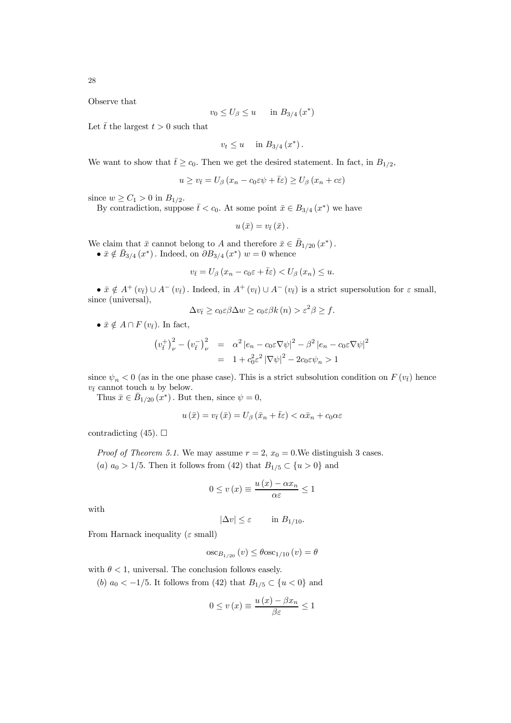28

Observe that

$$
v_0 \le U_\beta \le u \quad \text{in } B_{3/4} (x^*)
$$

Let  $\bar{t}$  the largest  $t > 0$  such that

$$
v_t \le u \quad \text{ in } B_{3/4} (x^*).
$$

We want to show that  $\bar{t} \geq c_0$ . Then we get the desired statement. In fact, in  $B_{1/2}$ ,

$$
u \ge v_{\bar{t}} = U_{\beta} \left( x_n - c_0 \varepsilon \psi + \bar{t} \varepsilon \right) \ge U_{\beta} \left( x_n + c \varepsilon \right)
$$

since  $w \ge C_1 > 0$  in  $B_{1/2}$ .

By contradiction, suppose  $\bar{t} < c_0$ . At some point  $\bar{x} \in B_{3/4}(x^*)$  we have

$$
u(\bar{x})=v_{\bar{t}}(\bar{x}).
$$

We claim that  $\bar{x}$  cannot belong to A and therefore  $\bar{x} \in \bar{B}_{1/20}(x^*)$ .

•  $\bar{x} \notin \bar{B}_{3/4}(x^*)$ . Indeed, on  $\partial B_{3/4}(x^*)$   $w = 0$  whence

$$
v_{\bar{t}} = U_{\beta} \left( x_n - c_0 \varepsilon + \bar{t} \varepsilon \right) < U_{\beta} \left( x_n \right) \leq u.
$$

•  $\bar{x} \notin A^+(v_{\bar{t}}) \cup A^-(v_{\bar{t}})$ . Indeed, in  $A^+(v_{\bar{t}}) \cup A^-(v_{\bar{t}})$  is a strict supersolution for  $\varepsilon$  small, since (universal),

$$
\Delta v_{\bar{t}} \ge c_0 \varepsilon \beta \Delta w \ge c_0 \varepsilon \beta k(n) > \varepsilon^2 \beta \ge f.
$$

•  $\bar{x} \notin A \cap F(v_{\bar{t}})$ . In fact,

$$
\left(v_{\overline{t}}^{+}\right)_{\nu}^{2} - \left(v_{\overline{t}}^{-}\right)_{\nu}^{2} = \alpha^{2} |e_{n} - c_{0}\varepsilon\nabla\psi|^{2} - \beta^{2} |e_{n} - c_{0}\varepsilon\nabla\psi|^{2}
$$

$$
= 1 + c_{0}\varepsilon^{2} |\nabla\psi|^{2} - 2c_{0}\varepsilon\psi_{n} > 1
$$

since  $\psi_n < 0$  (as in the one phase case). This is a strict subsolution condition on  $F(v_{\bar{t}})$  hence  $v_{\bar{t}}$  cannot touch u by below.

Thus  $\bar{x} \in \bar{B}_{1/20}(x^*)$ . But then, since  $\psi = 0$ ,

$$
u(\bar{x}) = v_{\bar{t}}(\bar{x}) = U_{\beta}(\bar{x}_n + \bar{t}\varepsilon) < \alpha \bar{x}_n + c_0 \alpha \varepsilon
$$

contradicting (45).  $\Box$ 

*Proof of Theorem 5.1.* We may assume  $r = 2$ ,  $x_0 = 0$ . We distinguish 3 cases. (a)  $a_0 > 1/5$ . Then it follows from (42) that  $B_{1/5} \subset \{u > 0\}$  and

$$
0 \le v(x) \equiv \frac{u(x) - \alpha x_n}{\alpha \varepsilon} \le 1
$$

with

$$
|\Delta v| \le \varepsilon \qquad \text{in } B_{1/10}.
$$

From Harnack inequality ( $\varepsilon$  small)

$$
\mathrm{osc}_{B_{1/20}}\left(v\right) \leq \theta \mathrm{osc}_{1/10}\left(v\right) = \theta
$$

with  $\theta < 1$ , universal. The conclusion follows easely.

(b)  $a_0 < -1/5$ . It follows from (42) that  $B_{1/5} \subset \{u < 0\}$  and

$$
0 \le v(x) \equiv \frac{u(x) - \beta x_n}{\beta \varepsilon} \le 1
$$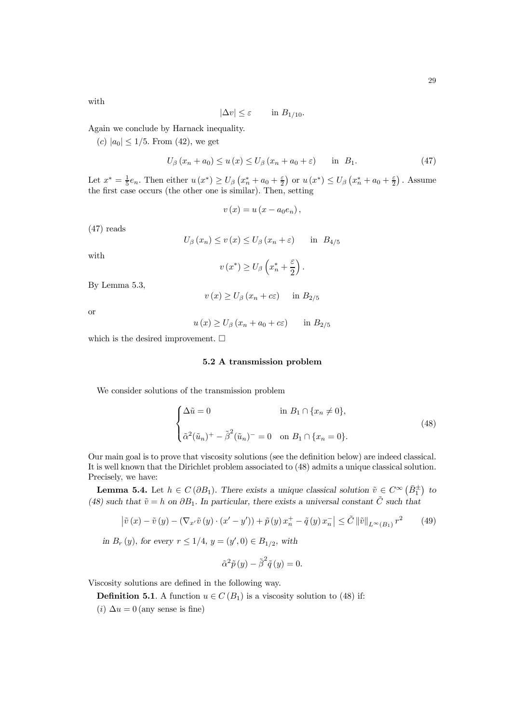with

$$
|\Delta v| \le \varepsilon \qquad \text{in } B_{1/10}.
$$

Again we conclude by Harnack inequality.

(c)  $|a_0| \leq 1/5$ . From (42), we get

$$
U_{\beta}\left(x_{n}+a_{0}\right) \leq u\left(x\right) \leq U_{\beta}\left(x_{n}+a_{0}+\varepsilon\right) \quad \text{in} \quad B_{1}.\tag{47}
$$

Let  $x^* = \frac{1}{5}e_n$ . Then either  $u(x^*) \ge U_\beta \left(x_n^* + a_0 + \frac{\varepsilon}{2}\right)$  or  $u(x^*) \le U_\beta \left(x_n^* + a_0 + \frac{\varepsilon}{2}\right)$ . Assume the first case occurs (the other one is similar). Then, setting

$$
v(x) = u(x - a_0 e_n),
$$

(47) reads

$$
U_{\beta}(x_n) \le v(x) \le U_{\beta}(x_n + \varepsilon) \quad \text{in} \ B_{4/5}
$$

with

$$
v(x^*) \ge U_\beta \left(x_n^* + \frac{\varepsilon}{2}\right).
$$

By Lemma 5.3,

$$
v(x) \ge U_{\beta} (x_n + c\varepsilon) \quad \text{in } B_{2/5}
$$

or

 $u(x) \ge U_{\beta} (x_n + a_0 + c \varepsilon)$  in  $B_{2/5}$ 

which is the desired improvement.  $\square$ 

### 5.2 A transmission problem

We consider solutions of the transmission problem

$$
\begin{cases} \Delta \tilde{u} = 0 & \text{in } B_1 \cap \{x_n \neq 0\}, \\ \tilde{\alpha}^2(\tilde{u}_n)^+ - \tilde{\beta}^2(\tilde{u}_n)^- = 0 & \text{on } B_1 \cap \{x_n = 0\}. \end{cases}
$$
(48)

Our main goal is to prove that viscosity solutions (see the definition below) are indeed classical. It is well known that the Dirichlet problem associated to (48) admits a unique classical solution. Precisely, we have:

**Lemma 5.4.** Let  $h \in C(\partial B_1)$ . There exists a unique classical solution  $\tilde{v} \in C^{\infty}(\bar{B}_1^{\pm})$  to (48) such that  $\tilde{v} = h$  on  $\partial B_1$ . In particular, there exists a universal constant  $\tilde{C}$  such that

$$
\left|\tilde{v}\left(x\right)-\tilde{v}\left(y\right)-\left(\nabla_{x'}\tilde{v}\left(y\right)\cdot\left(x'-y'\right)\right)+\tilde{p}\left(y\right)x_{n}^{+}-\tilde{q}\left(y\right)x_{n}^{-}\right|\leq\tilde{C}\left\|\tilde{v}\right\|_{L^{\infty}\left(B_{1}\right)}r^{2}\qquad\left(49\right)
$$

in  $B_r(y)$ , for every  $r \le 1/4$ ,  $y = (y', 0) \in B_{1/2}$ , with

$$
\tilde{\alpha}^2 \tilde{p}(y) - \tilde{\beta}^2 \tilde{q}(y) = 0.
$$

Viscosity solutions are defined in the following way.

**Definition 5.1**. A function  $u \in C(B_1)$  is a viscosity solution to (48) if:

(*i*)  $\Delta u = 0$  (any sense is fine)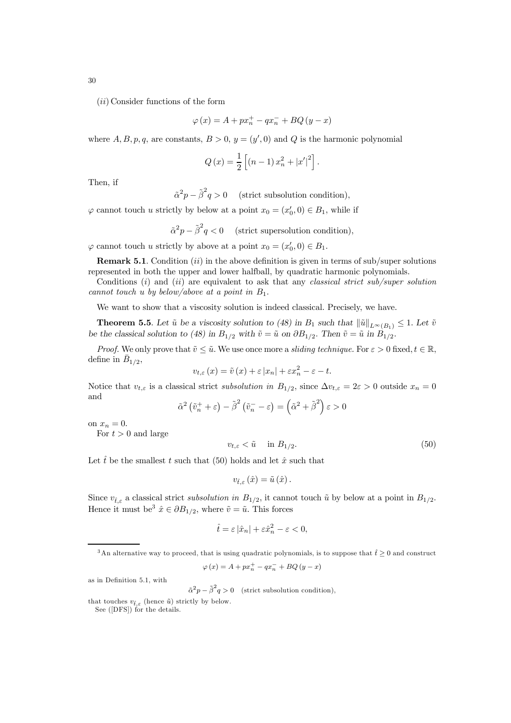$(ii)$  Consider functions of the form

$$
\varphi(x) = A + px_n^+ - qx_n^- + BQ(y - x)
$$

where  $A, B, p, q$ , are constants,  $B > 0$ ,  $y = (y', 0)$  and Q is the harmonic polynomial

$$
Q(x) = \frac{1}{2} \left[ (n-1)x_n^2 + |x'|^2 \right].
$$

Then, if

 $\tilde{\alpha}^2 p - \tilde{\beta}^2 q > 0$  (strict subsolution condition),

 $\varphi$  cannot touch u strictly by below at a point  $x_0 = (x'_0, 0) \in B_1$ , while if

$$
\tilde{\alpha}^2 p - \tilde{\beta}^2 q < 0 \quad \text{(strict supersolution condition)},
$$

 $\varphi$  cannot touch u strictly by above at a point  $x_0 = (x'_0, 0) \in B_1$ .

**Remark 5.1.** Condition (ii) in the above definition is given in terms of sub/super solutions represented in both the upper and lower halfball, by quadratic harmonic polynomials.

Conditions  $(i)$  and  $(ii)$  are equivalent to ask that any classical strict sub/super solution cannot touch u by below/above at a point in  $B_1$ .

We want to show that a viscosity solution is indeed classical. Precisely, we have.

**Theorem 5.5**. Let  $\tilde{u}$  be a viscosity solution to (48) in  $B_1$  such that  $\|\tilde{u}\|_{L^{\infty}(B_1)} \leq 1$ . Let  $\tilde{v}$ be the classical solution to (48) in  $B_{1/2}$  with  $\tilde{v} = \tilde{u}$  on  $\partial B_{1/2}$ . Then  $\tilde{v} = \tilde{u}$  in  $B_{1/2}$ .

*Proof.* We only prove that  $\tilde{v} \leq \tilde{u}$ . We use once more a sliding technique. For  $\varepsilon > 0$  fixed,  $t \in \mathbb{R}$ , define in  $\bar{B}_{1/2}$ ,

$$
v_{t,\varepsilon}(x) = \tilde{v}(x) + \varepsilon |x_n| + \varepsilon x_n^2 - \varepsilon - t.
$$

Notice that  $v_{t,\varepsilon}$  is a classical strict subsolution in  $B_{1/2}$ , since  $\Delta v_{t,\varepsilon} = 2\varepsilon > 0$  outside  $x_n = 0$ and

$$
\tilde{\alpha}^2 \left( \tilde{v}_n^+ + \varepsilon \right) - \tilde{\beta}^2 \left( \tilde{v}_n^- - \varepsilon \right) = \left( \tilde{\alpha}^2 + \tilde{\beta}^2 \right) \varepsilon > 0
$$

on  $x_n = 0$ .

For  $t > 0$  and large

$$
v_{t,\varepsilon} < \tilde{u} \quad \text{in } B_{1/2}.\tag{50}
$$

Let  $\hat{t}$  be the smallest t such that (50) holds and let  $\hat{x}$  such that

$$
v_{\hat{t},\varepsilon}\left(\hat{x}\right)=\tilde{u}\left(\hat{x}\right).
$$

Since  $v_{\hat{t},\varepsilon}$  a classical strict subsolution in  $B_{1/2}$ , it cannot touch  $\tilde{u}$  by below at a point in  $B_{1/2}$ . Hence it must be<sup>3</sup>  $\hat{x} \in \partial B_{1/2}$ , where  $\tilde{v} = \tilde{u}$ . This forces

$$
\hat{t} = \varepsilon \left| \hat{x}_n \right| + \varepsilon \hat{x}_n^2 - \varepsilon < 0,
$$

<sup>3</sup>An alternative way to proceed, that is using quadratic polynomials, is to suppose that  $\hat{t} \ge 0$  and construct

$$
\varphi\left(x\right)=A+px_{n}^{+}-qx_{n}^{-}+BQ\left(y-x\right)
$$

as in Definition 5.1, with

 $\tilde{\alpha}^2 p - \tilde{\beta}^2 q > 0$  (strict subsolution condition),

30

that touches  $v_{\hat{t}}$  (hence  $\tilde{u}$ ) strictly by below.

See ([DFS]) for the details.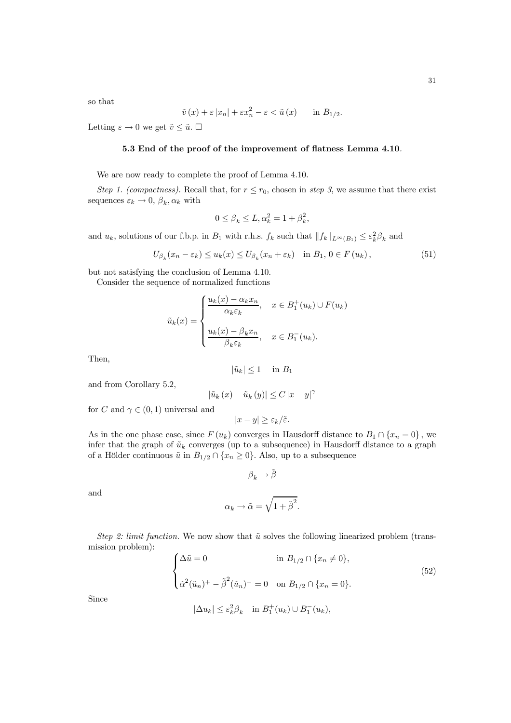so that

$$
\tilde{v}(x) + \varepsilon |x_n| + \varepsilon x_n^2 - \varepsilon < \tilde{u}(x)
$$
 in  $B_{1/2}$ .

Letting  $\varepsilon \to 0$  we get  $\tilde{v} \leq \tilde{u}$ .  $\Box$ 

## 5.3 End of the proof of the improvement of flatness Lemma 4.10.

We are now ready to complete the proof of Lemma 4.10.

Step 1. (compactness). Recall that, for  $r \le r_0$ , chosen in step 3, we assume that there exist sequences  $\varepsilon_k \to 0$ ,  $\beta_k$ ,  $\alpha_k$  with

$$
0 \le \beta_k \le L, \alpha_k^2 = 1 + \beta_k^2,
$$

and  $u_k$ , solutions of our f.b.p. in  $B_1$  with r.h.s.  $f_k$  such that  $||f_k||_{L^\infty(B_1)} \leq \varepsilon_k^2 \beta_k$  and

$$
U_{\beta_k}(x_n - \varepsilon_k) \le u_k(x) \le U_{\beta_k}(x_n + \varepsilon_k) \quad \text{in } B_1, \, 0 \in F(u_k), \tag{51}
$$

but not satisfying the conclusion of Lemma 4.10.

Consider the sequence of normalized functions

$$
\tilde{u}_k(x) = \begin{cases}\n\frac{u_k(x) - \alpha_k x_n}{\alpha_k \varepsilon_k}, & x \in B_1^+(u_k) \cup F(u_k) \\
\frac{u_k(x) - \beta_k x_n}{\beta_k \varepsilon_k}, & x \in B_1^-(u_k).\n\end{cases}
$$

Then,

$$
|\tilde{u}_k| \le 1 \quad \text{in } B_1
$$

and from Corollary 5.2,

$$
\left|\tilde{u}_{k}\left(x\right)-\tilde{u}_{k}\left(y\right)\right| \leq C\left|x-y\right|^{\gamma}
$$

for C and  $\gamma \in (0,1)$  universal and

$$
|x-y|\geq \varepsilon_k/\tilde{\varepsilon}.
$$

As in the one phase case, since  $F(u_k)$  converges in Hausdorff distance to  $B_1 \cap \{x_n = 0\}$ , we infer that the graph of  $\tilde{u}_k$  converges (up to a subsequence) in Hausdorff distance to a graph of a Hölder continuous  $\tilde{u}$  in  $B_{1/2} \cap \{x_n \geq 0\}$ . Also, up to a subsequence

$$
\beta_k \to \tilde{\beta}
$$

and

$$
\alpha_k \to \tilde{\alpha} = \sqrt{1 + \tilde{\beta}^2}.
$$

Step 2: limit function. We now show that  $\tilde{u}$  solves the following linearized problem (transmission problem):

$$
\begin{cases} \Delta \tilde{u} = 0 & \text{in } B_{1/2} \cap \{x_n \neq 0\}, \\ \tilde{\alpha}^2 (\tilde{u}_n)^+ - \tilde{\beta}^2 (\tilde{u}_n)^- = 0 & \text{on } B_{1/2} \cap \{x_n = 0\}. \end{cases}
$$
(52)

Since

$$
|\Delta u_k|\leq \varepsilon_k^2\beta_k\quad\text{in }B_1^+(u_k)\cup B_1^-(u_k),
$$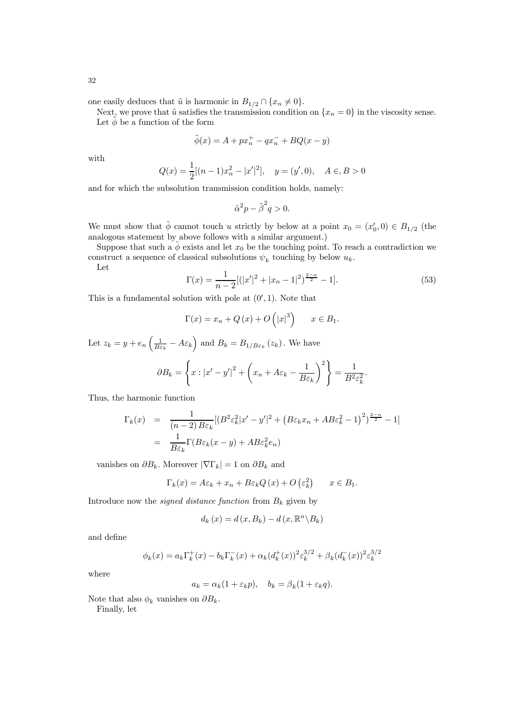one easily deduces that  $\tilde{u}$  is harmonic in  $B_{1/2} \cap \{x_n \neq 0\}.$ 

Next, we prove that  $\tilde{u}$  satisfies the transmission condition on  $\{x_n = 0\}$  in the viscosity sense. Let  $\phi$  be a function of the form

$$
\tilde{\phi}(x) = A + px_n^+ - qx_n^- + BQ(x - y)
$$

with

$$
Q(x) = \frac{1}{2}[(n-1)x_n^2 - |x'|^2], \quad y = (y', 0), \quad A \in B > 0
$$

and for which the subsolution transmission condition holds, namely:

$$
\tilde{\alpha}^2 p - \tilde{\beta}^2 q > 0.
$$

We must show that  $\phi$  cannot touch u strictly by below at a point  $x_0 = (x'_0, 0) \in B_{1/2}$  (the analogous statement by above follows with a similar argument.)

Suppose that such a  $\phi$  exists and let  $x_0$  be the touching point. To reach a contradiction we construct a sequence of classical subsolutions  $\psi_k$  touching by below  $u_k$ .

Let

$$
\Gamma(x) = \frac{1}{n-2} \left[ (|x'|^2 + |x_n - 1|^2)^{\frac{2-n}{2}} - 1 \right].
$$
 (53)

 $=\frac{1}{R^2}$  $B^2\varepsilon_k^2$ .

This is a fundamental solution with pole at  $(0', 1)$ . Note that

$$
\Gamma(x) = x_n + Q(x) + O(|x|^3) \qquad x \in B_1.
$$

Let  $z_k = y + e_n \left(\frac{1}{B\varepsilon_k} - A\varepsilon_k\right)$  and  $B_k = B_{1/B\varepsilon_k}(z_k)$ . We have  $\partial B_k =$  $\sqrt{ }$  $x: |x'-y'|^2 + \left($  $x_n + A\varepsilon_k - \frac{1}{B\varepsilon_k}$  $B\varepsilon_k$  $\langle \rangle^2$ 

Thus, the harmonic function

$$
\Gamma_k(x) = \frac{1}{(n-2)B\varepsilon_k} [(B^2 \varepsilon_k^2 |x'-y'|^2 + (B\varepsilon_k x_n + AB\varepsilon_k^2 - 1)^2)^{\frac{2-n}{2}} - 1]
$$

$$
= \frac{1}{B\varepsilon_k} \Gamma(B\varepsilon_k (x-y) + AB\varepsilon_k^2 e_n)
$$

vanishes on  $\partial B_k$ . Moreover  $|\nabla \Gamma_k| = 1$  on  $\partial B_k$  and

$$
\Gamma_k(x) = A\varepsilon_k + x_n + B\varepsilon_k Q(x) + O\left(\varepsilon_k^2\right) \qquad x \in B_1.
$$

Introduce now the *signed distance function* from  $B_k$  given by

$$
d_k(x) = d(x, B_k) - d(x, \mathbb{R}^n \backslash B_k)
$$

and define

$$
\phi_k(x) = a_k \Gamma_k^+(x) - b_k \Gamma_k^-(x) + \alpha_k (d_k^+(x))^2 \varepsilon_k^{3/2} + \beta_k (d_k^-(x))^2 \varepsilon_k^{3/2}
$$

where

$$
a_k = \alpha_k (1 + \varepsilon_k p), \quad b_k = \beta_k (1 + \varepsilon_k q).
$$

Note that also  $\phi_k$  vanishes on  $\partial B_k$ .

Finally, let

32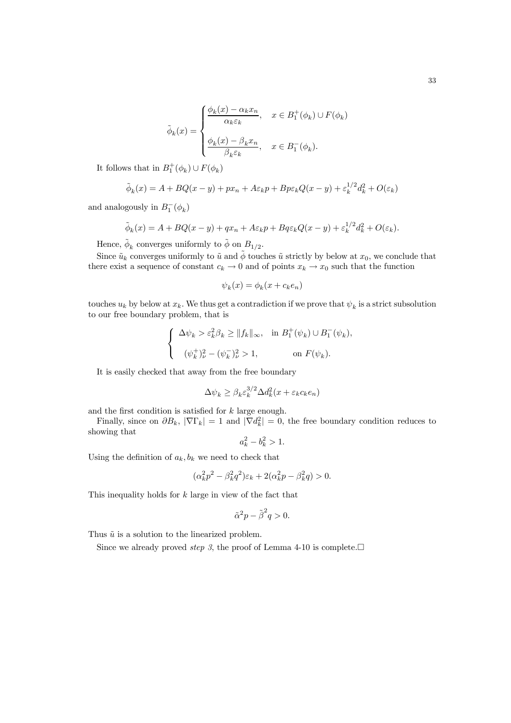$$
\tilde{\phi}_k(x) = \begin{cases} \frac{\phi_k(x) - \alpha_k x_n}{\alpha_k \varepsilon_k}, & x \in B_1^+(\phi_k) \cup F(\phi_k) \\ \frac{\phi_k(x) - \beta_k x_n}{\beta_k \varepsilon_k}, & x \in B_1^-(\phi_k). \end{cases}
$$

It follows that in  $B_1^+(\phi_k) \cup F(\phi_k)$ 

$$
\tilde{\phi}_k(x) = A + BQ(x - y) + px_n + A\varepsilon_k p + Bp\varepsilon_k Q(x - y) + \varepsilon_k^{1/2} d_k^2 + O(\varepsilon_k)
$$

and analogously in  $B_1^ ^{-}_{1}(\phi_{k})$ 

$$
\tilde{\phi}_k(x) = A + BQ(x - y) + qx_n + A\varepsilon_k p + Bq\varepsilon_k Q(x - y) + \varepsilon_k^{1/2} d_k^2 + O(\varepsilon_k).
$$

Hence,  $\tilde{\phi}_k$  converges uniformly to  $\tilde{\phi}$  on  $B_{1/2}$ .

Since  $\tilde{u}_k$  converges uniformly to  $\tilde{u}$  and  $\tilde{\phi}$  touches  $\tilde{u}$  strictly by below at  $x_0$ , we conclude that there exist a sequence of constant  $c_k \to 0$  and of points  $x_k \to x_0$  such that the function

 $\psi_k(x) = \phi_k(x + c_k e_n)$ 

touches  $u_k$  by below at  $x_k$ . We thus get a contradiction if we prove that  $\psi_k$  is a strict subsolution to our free boundary problem, that is

$$
\begin{cases} \Delta \psi_k > \varepsilon_k^2 \beta_k \ge ||f_k||_{\infty}, & \text{in } B_1^+(\psi_k) \cup B_1^-(\psi_k), \\ \ (\psi_k^+)_\nu^2 - (\psi_k^-)_\nu^2 > 1, & \text{on } F(\psi_k). \end{cases}
$$

It is easily checked that away from the free boundary

$$
\Delta \psi_k \ge \beta_k \varepsilon_k^{3/2} \Delta d_k^2(x + \varepsilon_k c_k e_n)
$$

and the first condition is satisfied for k large enough.

Finally, since on  $\partial B_k$ ,  $|\nabla \Gamma_k| = 1$  and  $|\nabla d_k^2| = 0$ , the free boundary condition reduces to showing that

$$
a_k^2 - b_k^2 > 1.
$$

Using the definition of  $a_k, b_k$  we need to check that

$$
(\alpha_k^2 p^2 - \beta_k^2 q^2) \varepsilon_k + 2(\alpha_k^2 p - \beta_k^2 q) > 0.
$$

This inequality holds for k large in view of the fact that

$$
\tilde{\alpha}^2 p - \tilde{\beta}^2 q > 0.
$$

Thus  $\tilde{u}$  is a solution to the linearized problem.

Since we already proved *step 3*, the proof of Lemma 4-10 is complete.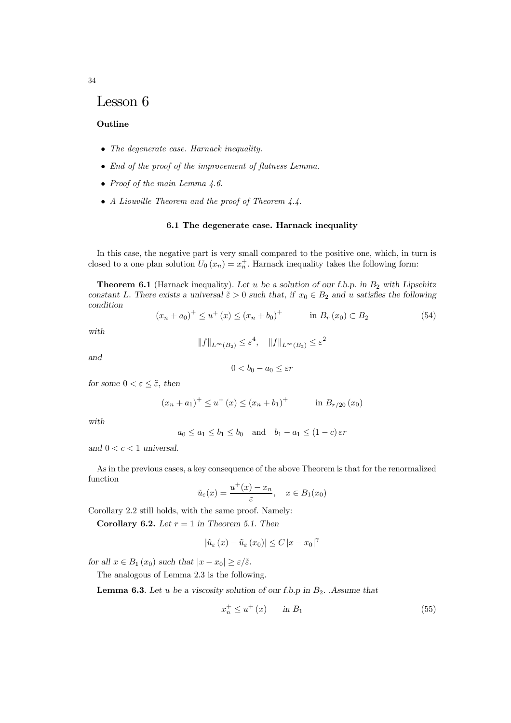# Lesson 6

## Outline

- The degenerate case. Harnack inequality.
- End of the proof of the improvement of flatness Lemma.
- Proof of the main Lemma 4.6.
- A Liouville Theorem and the proof of Theorem 4.4.

#### 6.1 The degenerate case. Harnack inequality

In this case, the negative part is very small compared to the positive one, which, in turn is closed to a one plan solution  $U_0(x_n) = x_n^+$ . Harnack inequality takes the following form:

**Theorem 6.1** (Harnack inequality). Let u be a solution of our f.b.p. in  $B_2$  with Lipschitz constant L. There exists a universal  $\tilde{\varepsilon} > 0$  such that, if  $x_0 \in B_2$  and u satisfies the following condition

$$
(x_n + a_0)^+ \le u^+ (x) \le (x_n + b_0)^+ \qquad \text{in } B_r (x_0) \subset B_2 \tag{54}
$$

with

$$
||f||_{L^{\infty}(B_2)} \leq \varepsilon^4, \quad ||f||_{L^{\infty}(B_2)} \leq \varepsilon^2
$$

and

$$
0 < b_0 - a_0 \leq \varepsilon r
$$

for some  $0 < \varepsilon \leq \tilde{\varepsilon}$ , then

$$
(x_n + a_1)^+ \le u^+(x) \le (x_n + b_1)^+
$$
 in  $B_{r/20}(x_0)$ 

with

$$
a_0 \le a_1 \le b_1 \le b_0
$$
 and  $b_1 - a_1 \le (1 - c) \varepsilon r$ 

and  $0 < c < 1$  universal.

As in the previous cases, a key consequence of the above Theorem is that for the renormalized function

$$
\tilde{u}_{\varepsilon}(x) = \frac{u^+(x) - x_n}{\varepsilon}, \quad x \in B_1(x_0)
$$

Corollary 2.2 still holds, with the same proof. Namely:

Corollary 6.2. Let  $r = 1$  in Theorem 5.1. Then

$$
\left|\tilde{u}_{\varepsilon}\left(x\right)-\tilde{u}_{\varepsilon}\left(x_{0}\right)\right| \leq C\left|x-x_{0}\right|^{\gamma}
$$

for all  $x \in B_1(x_0)$  such that  $|x - x_0| \ge \varepsilon/\tilde{\varepsilon}$ .

The analogous of Lemma 2.3 is the following.

**Lemma 6.3**. Let u be a viscosity solution of our f.b.p in  $B_2$ . Assume that

$$
x_n^+ \le u^+(x) \qquad \text{in } B_1 \tag{55}
$$

34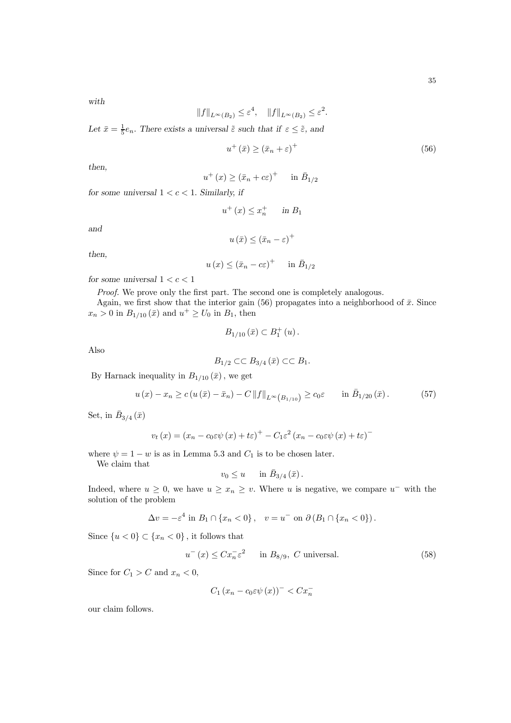with

$$
||f||_{L^{\infty}(B_2)} \leq \varepsilon^4, \quad ||f||_{L^{\infty}(B_2)} \leq \varepsilon^2.
$$

Let  $\bar{x} = \frac{1}{5}e_n$ . There exists a universal  $\tilde{\varepsilon}$  such that if  $\varepsilon \leq \tilde{\varepsilon}$ , and

$$
u^{+}\left(\bar{x}\right) \geq \left(\bar{x}_{n} + \varepsilon\right)^{+}
$$
\n<sup>(56)</sup>

then,

$$
u^+(x) \ge (\bar{x}_n + c\varepsilon)^+ \quad \text{in } \bar{B}_{1/2}
$$

for some universal  $1 < c < 1$ . Similarly, if

$$
u^+(x) \le x_n^+ \quad \text{in } B_1
$$

and

$$
u(\bar{x}) \leq (\bar{x}_n - \varepsilon)^+
$$

then,

$$
u(x) \le (\bar{x}_n - c\varepsilon)^+ \quad \text{in } \bar{B}_{1/2}
$$

for some universal  $1 < c < 1$ 

Proof. We prove only the first part. The second one is completely analogous. Again, we first show that the interior gain (56) propagates into a neighborhood of  $\bar{x}$ . Since  $x_n > 0$  in  $B_{1/10}(\bar{x})$  and  $u^+ \ge U_0$  in  $B_1$ , then

$$
B_{1/10}\left(\bar{x}\right) \subset B_1^+\left(u\right).
$$

Also

$$
B_{1/2} \subset\subset B_{3/4}(\bar{x}) \subset\subset B_1.
$$

By Harnack inequality in  $B_{1/10}\left(\bar{x}\right),$  we get

$$
u(x) - x_n \ge c(u(\bar{x}) - \bar{x}_n) - C ||f||_{L^{\infty}(B_{1/10})} \ge c_0 \varepsilon \quad \text{in } \bar{B}_{1/20}(\bar{x}). \tag{57}
$$

Set, in  $\bar{B}_{3/4}(\bar{x})$ 

$$
v_t(x) = (x_n - c_0 \varepsilon \psi(x) + t\varepsilon)^+ - C_1 \varepsilon^2 (x_n - c_0 \varepsilon \psi(x) + t\varepsilon)^-
$$

where  $\psi = 1 - w$  is as in Lemma 5.3 and  $C_1$  is to be chosen later.

We claim that

$$
v_0 \leq u \quad \text{in } \bar{B}_{3/4}(\bar{x})\,.
$$

Indeed, where  $u \geq 0$ , we have  $u \geq x_n \geq v$ . Where u is negative, we compare  $u^-$  with the solution of the problem

$$
\Delta v = -\varepsilon^4 \text{ in } B_1 \cap \{x_n < 0\} \,,\quad v = u^- \text{ on } \partial \left( B_1 \cap \{x_n < 0\} \right).
$$

Since  $\{u < 0\} \subset \{x_n < 0\}$ , it follows that

$$
u^{-}(x) \le Cx_{n}^{-}\varepsilon^{2} \quad \text{in } B_{8/9}, \ C \text{ universal.}
$$
 (58)

Since for  $C_1 > C$  and  $x_n < 0$ ,

$$
C_1 (x_n - c_0 \varepsilon \psi(x))^- < C x_n^-
$$

our claim follows.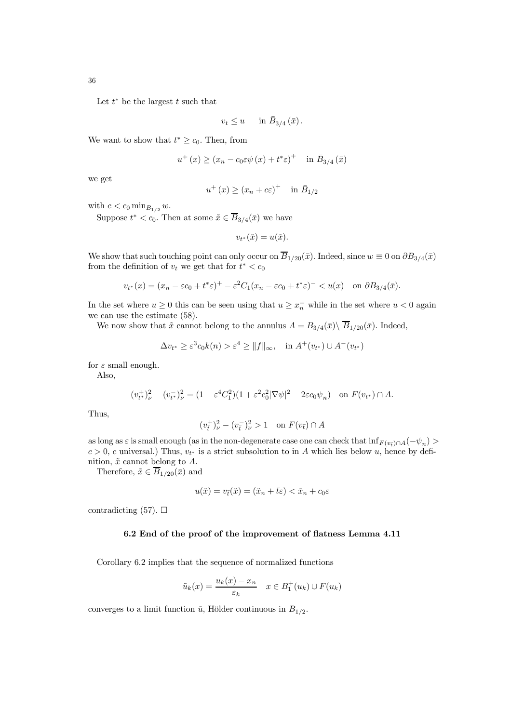Let  $t^*$  be the largest  $t$  such that

$$
v_t \leq u \quad \text{ in } \bar{B}_{3/4}(\bar{x})\,.
$$

We want to show that  $t^* \geq c_0$ . Then, from

$$
u^{+}(x) \ge (x_{n} - c_{0}\varepsilon\psi(x) + t^{*}\varepsilon)^{+} \quad \text{in } \bar{B}_{3/4}(\bar{x})
$$

we get

$$
u^+(x) \ge (x_n + c\varepsilon)^+ \quad \text{in } \bar{B}_{1/2}
$$

with  $c < c_0 \min_{B_{1/2}} w$ .

Suppose  $t^* < c_0$ . Then at some  $\tilde{x} \in \overline{B}_{3/4}(\bar{x})$  we have

 $v_{t^*}(\tilde{x}) = u(\tilde{x}).$ 

We show that such touching point can only occur on  $\overline{B}_{1/20}(\bar{x})$ . Indeed, since  $w \equiv 0$  on  $\partial B_{3/4}(\bar{x})$ from the definition of  $v_t$  we get that for  $t^* < c_0$ 

$$
v_{t^*}(x) = (x_n - \varepsilon c_0 + t^* \varepsilon)^+ - \varepsilon^2 C_1 (x_n - \varepsilon c_0 + t^* \varepsilon)^- < u(x) \quad \text{on } \partial B_{3/4}(\bar{x}).
$$

In the set where  $u \geq 0$  this can be seen using that  $u \geq x_n^+$  while in the set where  $u < 0$  again we can use the estimate (58).

We now show that  $\tilde{x}$  cannot belong to the annulus  $A = B_{3/4}(\bar{x})\setminus \overline{B}_{1/20}(\bar{x})$ . Indeed,

$$
\Delta v_{t^*} \ge \varepsilon^3 c_0 k(n) > \varepsilon^4 \ge ||f||_{\infty}, \quad \text{in } A^+(v_{t^*}) \cup A^-(v_{t^*})
$$

for  $\varepsilon$  small enough.

Also,

$$
(v_{t^*}^+)_\nu^2 - (v_{t^*}^-)_\nu^2 = (1 - \varepsilon^4 C_1^2)(1 + \varepsilon^2 c_0^2 |\nabla \psi|^2 - 2\varepsilon c_0 \psi_n) \text{ on } F(v_{t^*}) \cap A.
$$

Thus,

$$
(v_{\bar{t}}^+)_\nu^2 - (v_{\bar{t}}^-)_\nu^2 > 1 \quad \text{on } F(v_{\bar{t}}) \cap A
$$

as long as  $\varepsilon$  is small enough (as in the non-degenerate case one can check that  $\inf_{F(v_t) \cap A}(-\psi_n)$  $c > 0$ , c universal.) Thus,  $v_{t^*}$  is a strict subsolution to in A which lies below u, hence by definition,  $\tilde{x}$  cannot belong to  $A$ .

Therefore,  $\tilde{x} \in \overline{B}_{1/20}(\bar{x})$  and

$$
u(\tilde{x}) = v_{\bar{t}}(\tilde{x}) = (\tilde{x}_n + \bar{t}\varepsilon) < \tilde{x}_n + c_0 \varepsilon
$$

contradicting (57).  $\Box$ 

#### 6.2 End of the proof of the improvement of flatness Lemma 4.11

Corollary 6.2 implies that the sequence of normalized functions

$$
\tilde{u}_k(x) = \frac{u_k(x) - x_n}{\varepsilon_k} \quad x \in B_1^+(u_k) \cup F(u_k)
$$

converges to a limit function  $\tilde{u}$ , Hölder continuous in  $B_{1/2}$ .

36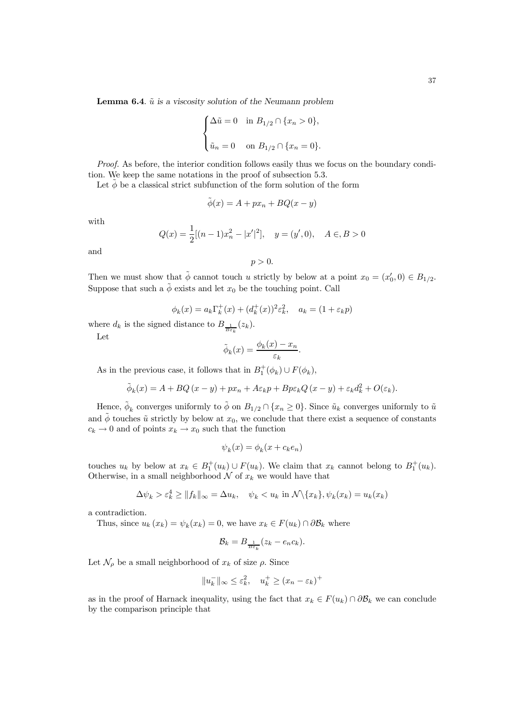**Lemma 6.4.**  $\tilde{u}$  is a viscosity solution of the Neumann problem

$$
\begin{cases} \Delta \tilde{u} = 0 & \text{in } B_{1/2} \cap \{x_n > 0\}, \\ \\ \tilde{u}_n = 0 & \text{on } B_{1/2} \cap \{x_n = 0\}. \end{cases}
$$

Proof. As before, the interior condition follows easily thus we focus on the boundary condition. We keep the same notations in the proof of subsection 5.3.

Let  $\phi$  be a classical strict subfunction of the form solution of the form

$$
\tilde{\phi}(x) = A + px_n + BQ(x - y)
$$

with

and

$$
Q(x) = \frac{1}{2}[(n-1)x_n^2 - |x'|^2], \quad y = (y', 0), \quad A \in B > 0
$$
  

$$
p > 0.
$$

Then we must show that  $\phi$  cannot touch u strictly by below at a point  $x_0 = (x'_0, 0) \in B_{1/2}$ . Suppose that such a  $\phi$  exists and let  $x_0$  be the touching point. Call

$$
\phi_k(x) = a_k \Gamma_k^+(x) + (d_k^+(x))^2 \varepsilon_k^2, \quad a_k = (1 + \varepsilon_k p)
$$

where  $d_k$  is the signed distance to  $B_{\frac{1}{B\varepsilon_k}}(z_k)$ .

Let

$$
\tilde{\phi}_k(x) = \frac{\phi_k(x) - x_n}{\varepsilon_k}.
$$

As in the previous case, it follows that in  $B_1^+(\phi_k) \cup F(\phi_k)$ ,

$$
\tilde{\phi}_k(x) = A + BQ(x - y) + px_n + A\varepsilon_k p + Bp\varepsilon_k Q(x - y) + \varepsilon_k d_k^2 + O(\varepsilon_k).
$$

Hence,  $\tilde{\phi}_k$  converges uniformly to  $\tilde{\phi}$  on  $B_{1/2} \cap \{x_n \ge 0\}$ . Since  $\tilde{u}_k$  converges uniformly to  $\tilde{u}$ and  $\phi$  touches  $\tilde{u}$  strictly by below at  $x_0$ , we conclude that there exist a sequence of constants  $c_k \to 0$  and of points  $x_k \to x_0$  such that the function

$$
\psi_k(x) = \phi_k(x + c_k e_n)
$$

touches  $u_k$  by below at  $x_k \in B_1^+(u_k) \cup F(u_k)$ . We claim that  $x_k$  cannot belong to  $B_1^+(u_k)$ . Otherwise, in a small neighborhood  $N$  of  $x_k$  we would have that

$$
\Delta \psi_k > \varepsilon_k^4 \ge ||f_k||_{\infty} = \Delta u_k, \quad \psi_k < u_k \text{ in } \mathcal{N} \setminus \{x_k\}, \psi_k(x_k) = u_k(x_k)
$$

a contradiction.

Thus, since  $u_k(x_k) = \psi_k(x_k) = 0$ , we have  $x_k \in F(u_k) \cap \partial \mathcal{B}_k$  where

$$
\mathcal{B}_k = B_{\frac{1}{B\varepsilon_k}}(z_k - e_n c_k).
$$

Let  $\mathcal{N}_{\rho}$  be a small neighborhood of  $x_k$  of size  $\rho$ . Since

$$
||u_k^-||_\infty \le \varepsilon_k^2, \quad u_k^+ \ge (x_n - \varepsilon_k)^+
$$

as in the proof of Harnack inequality, using the fact that  $x_k \in F(u_k) \cap \partial \mathcal{B}_k$  we can conclude by the comparison principle that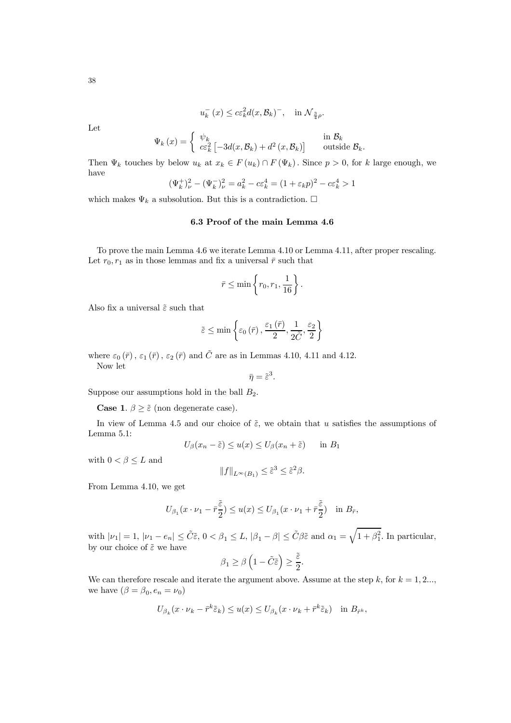$$
u_k^-(x) \le c\varepsilon_k^2 d(x, \mathcal{B}_k)^-, \quad \text{in } \mathcal{N}_{\frac{3}{4}\rho}.
$$

Let

$$
\Psi_k(x) = \begin{cases} \psi_k & \text{in } \mathcal{B}_k \\ c\varepsilon_k^2 \left[ -3d(x,\mathcal{B}_k) + d^2(x,\mathcal{B}_k) \right] & \text{outside } \mathcal{B}_k. \end{cases}
$$

Then  $\Psi_k$  touches by below  $u_k$  at  $x_k \in F(u_k) \cap F(\Psi_k)$ . Since  $p > 0$ , for k large enough, we have

$$
(\Psi_k^+)_\nu^2 - (\Psi_k^-)_\nu^2 = a_k^2 - c\varepsilon_k^4 = (1 + \varepsilon_k p)^2 - c\varepsilon_k^4 > 1
$$

which makes  $\Psi_k$  a subsolution. But this is a contradiction.  $\Box$ 

## 6.3 Proof of the main Lemma 4.6

To prove the main Lemma 4.6 we iterate Lemma 4.10 or Lemma 4.11, after proper rescaling. Let  $r_0, r_1$  as in those lemmas and fix a universal  $\bar{r}$  such that

$$
\bar{r} \le \min\left\{r_0, r_1, \frac{1}{16}\right\}.
$$

Also fix a universal  $\tilde{\varepsilon}$  such that

$$
\tilde{\varepsilon}\leq\min\left\{\varepsilon_{0}\left(\bar{r}\right),\frac{\varepsilon_{1}\left(\bar{r}\right)}{2},\frac{1}{2\tilde{C}},\frac{\varepsilon_{2}}{2}\right\}
$$

where  $\varepsilon_0(\bar{r})$ ,  $\varepsilon_1(\bar{r})$ ,  $\varepsilon_2(\bar{r})$  and  $\tilde{C}$  are as in Lemmas 4.10, 4.11 and 4.12. Now let

 $\bar{\eta} = \tilde{\varepsilon}^3.$ 

Suppose our assumptions hold in the ball  $B_2$ .

**Case 1.**  $\beta \geq \tilde{\varepsilon}$  (non degenerate case).

In view of Lemma 4.5 and our choice of  $\tilde{\varepsilon}$ , we obtain that u satisfies the assumptions of Lemma 5.1:

$$
U_{\beta}(x_n - \tilde{\varepsilon}) \le u(x) \le U_{\beta}(x_n + \tilde{\varepsilon}) \quad \text{in } B_1
$$

with  $0 < \beta \leq L$  and

$$
||f||_{L^{\infty}(B_1)} \leq \tilde{\varepsilon}^3 \leq \tilde{\varepsilon}^2 \beta.
$$

From Lemma 4.10, we get

$$
U_{\beta_1}(x \cdot \nu_1 - \bar{r}^{\tilde{\varepsilon}}) \le u(x) \le U_{\beta_1}(x \cdot \nu_1 + \bar{r}^{\tilde{\varepsilon}}) \quad \text{in } B_{\bar{r}},
$$

with  $|\nu_1| = 1$ ,  $|\nu_1 - e_n| \leq \tilde{C}\tilde{\varepsilon}$ ,  $0 < \beta_1 \leq L$ ,  $|\beta_1 - \beta| \leq \tilde{C}\beta\tilde{\varepsilon}$  and  $\alpha_1 = \sqrt{1 + \beta_1^2}$ . In particular, by our choice of  $\tilde{\varepsilon}$  we have

$$
\beta_1 \ge \beta \left(1 - \tilde{C}\tilde{\varepsilon}\right) \ge \frac{\tilde{\varepsilon}}{2}.
$$

We can therefore rescale and iterate the argument above. Assume at the step k, for  $k = 1, 2...$ , we have  $(\beta = \beta_0, e_n = \nu_0)$ 

$$
U_{\beta_k}(x \cdot \nu_k - \bar{r}^k \tilde{\varepsilon}_k) \le u(x) \le U_{\beta_k}(x \cdot \nu_k + \bar{r}^k \tilde{\varepsilon}_k) \quad \text{in } B_{\bar{r}^k},
$$

38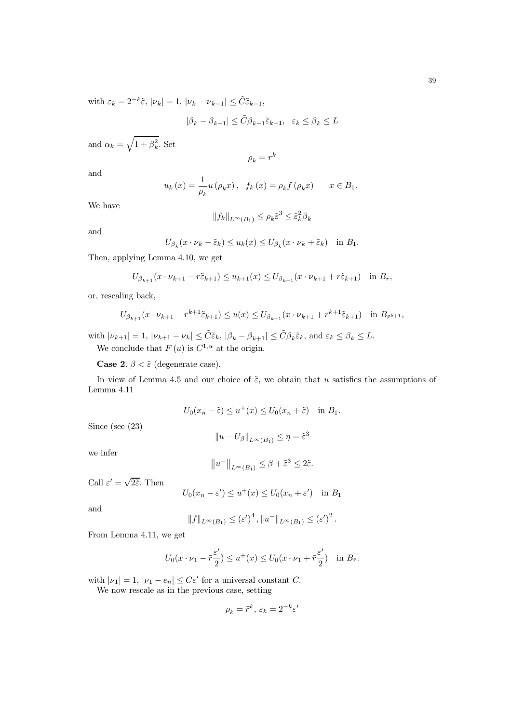with  $\varepsilon_k = 2^{-k}\tilde{\varepsilon}, |\nu_k| = 1, |\nu_k - \nu_{k-1}| \leq \tilde{C}\tilde{\varepsilon}_{k-1},$ 

$$
|\beta_k-\beta_{k-1}|\leq \tilde C\beta_{k-1}\tilde\varepsilon_{k-1},\ \ \varepsilon_k\leq \beta_k\leq L
$$

and  $\alpha_k = \sqrt{1 + \beta_k^2}$ . Set

$$
\rho_k = \bar{r}^k
$$

and

$$
u_k(x) = \frac{1}{\rho_k} u(\rho_k x), \quad f_k(x) = \rho_k f(\rho_k x) \qquad x \in B_1.
$$

We have

$$
||f_k||_{L^{\infty}(B_1)} \leq \rho_k \tilde{\varepsilon}^3 \leq \tilde{\varepsilon}_k^2 \beta_k
$$

and

$$
U_{\beta_k}(x \cdot \nu_k - \tilde{\varepsilon}_k) \le u_k(x) \le U_{\beta_k}(x \cdot \nu_k + \tilde{\varepsilon}_k) \quad \text{in } B_1.
$$

Then, applying Lemma 4.10, we get

$$
U_{\beta_{k+1}}(x \cdot \nu_{k+1} - \tilde{r} \tilde{\varepsilon}_{k+1}) \le u_{k+1}(x) \le U_{\beta_{k+1}}(x \cdot \nu_{k+1} + \tilde{r} \tilde{\varepsilon}_{k+1}) \quad \text{in } B_{\bar{r}},
$$

or, rescaling back,

$$
U_{\beta_{k+1}}(x \cdot \nu_{k+1} - \bar{r}^{k+1}\tilde{\varepsilon}_{k+1}) \le u(x) \le U_{\beta_{k+1}}(x \cdot \nu_{k+1} + \bar{r}^{k+1}\tilde{\varepsilon}_{k+1}) \quad \text{in } B_{\bar{r}^{k+1}},
$$

with  $|\nu_{k+1}| = 1$ ,  $|\nu_{k+1} - \nu_k| \leq \tilde{C} \tilde{\varepsilon}_k$ ,  $|\beta_k - \beta_{k+1}| \leq \tilde{C} \beta_k \tilde{\varepsilon}_k$ , and  $\varepsilon_k \leq \beta_k \leq L$ . We conclude that  $F(u)$  is  $C^{1,\alpha}$  at the origin.

**Case 2.**  $\beta < \tilde{\varepsilon}$  (degenerate case).

In view of Lemma 4.5 and our choice of  $\tilde{\varepsilon}$ , we obtain that u satisfies the assumptions of Lemma 4.11

$$
U_0(x_n - \tilde{\varepsilon}) \le u^+(x) \le U_0(x_n + \tilde{\varepsilon}) \quad \text{in } B_1.
$$

Since (see (23)

$$
||u - U_{\beta}||_{L^{\infty}(B_1)} \leq \bar{\eta} = \tilde{\varepsilon}^3
$$

we infer

$$
||u^-||_{L^{\infty}(B_1)} \leq \beta + \tilde{\varepsilon}^3 \leq 2\tilde{\varepsilon}.
$$

Call  $\varepsilon' = \sqrt{2\tilde{\varepsilon}}$ . Then

$$
U_0(x_n - \varepsilon') \le u^+(x) \le U_0(x_n + \varepsilon') \quad \text{in } B_1
$$

and

$$
||f||_{L^{\infty}(B_1)} \leq (\varepsilon')^4, ||u^-||_{L^{\infty}(B_1)} \leq (\varepsilon')^2.
$$

From Lemma 4.11, we get

$$
U_0(x \cdot \nu_1 - \bar{r} \frac{\varepsilon'}{2}) \le u^+(x) \le U_0(x \cdot \nu_1 + \bar{r} \frac{\varepsilon'}{2}) \quad \text{in } B_{\bar{r}}.
$$

with  $|\nu_1| = 1$ ,  $|\nu_1 - e_n| \leq C \varepsilon'$  for a universal constant C.

We now rescale as in the previous case, setting

$$
\rho_k = \bar{r}^k, \, \varepsilon_k = 2^{-k} \varepsilon'
$$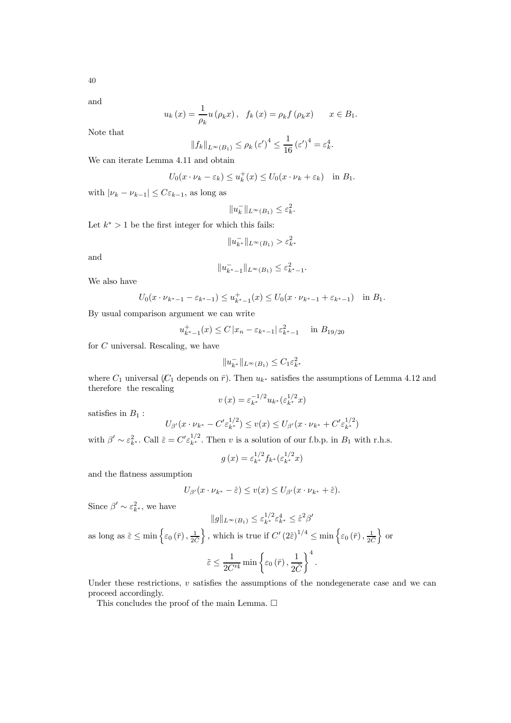40

and

$$
u_k(x) = \frac{1}{\rho_k} u(\rho_k x), \quad f_k(x) = \rho_k f(\rho_k x) \qquad x \in B_1.
$$

Note that

$$
||f_k||_{L^{\infty}(B_1)} \le \rho_k \left(\varepsilon'\right)^4 \le \frac{1}{16} \left(\varepsilon'\right)^4 = \varepsilon_k^4.
$$

We can iterate Lemma 4.11 and obtain

$$
U_0(x \cdot \nu_k - \varepsilon_k) \le u_k^+(x) \le U_0(x \cdot \nu_k + \varepsilon_k) \quad \text{in } B_1.
$$

with  $|\nu_k - \nu_{k-1}| \leq C \varepsilon_{k-1}$ , as long as

$$
||u_k^-||_{L^\infty(B_1)} \leq \varepsilon_k^2
$$

.

Let  $k^* > 1$  be the first integer for which this fails:

$$
\|u_{k^*}^-\|_{L^\infty(B_1)} > \varepsilon_{k^*}^2
$$

and

$$
||u_{k^*-1}^-||_{L^{\infty}(B_1)} \leq \varepsilon_{k^*-1}^2.
$$

We also have

$$
U_0(x \cdot \nu_{k^*-1} - \varepsilon_{k^*-1}) \le u_{k^*-1}^+(x) \le U_0(x \cdot \nu_{k^*-1} + \varepsilon_{k^*-1}) \quad \text{in } B_1.
$$

By usual comparison argument we can write

$$
u_{k^*-1}^+(x) \le C |x_n - \varepsilon_{k^*-1}| \varepsilon_{k^*-1}^2 \quad \text{in } B_{19/20}
$$

for C universal. Rescaling, we have

$$
||u_{k^*}^-||_{L^\infty(B_1)}\leq C_1\varepsilon_{k^*}^2
$$

where  $C_1$  universal ( $C_1$  depends on  $\bar{r}$ ). Then  $u_{k^*}$  satisfies the assumptions of Lemma 4.12 and therefore the rescaling

$$
v(x) = \varepsilon_{k^*}^{-1/2} u_{k^*}(\varepsilon_{k^*}^{1/2} x)
$$

satisfies in  $B_1$ :

$$
U_{\beta'}(x \cdot \nu_{k^*} - C' \varepsilon_{k^*}^{1/2}) \le v(x) \le U_{\beta'}(x \cdot \nu_{k^*} + C' \varepsilon_{k^*}^{1/2})
$$

with  $\beta' \sim \varepsilon_{k^*}^2$ . Call  $\hat{\varepsilon} = C' \varepsilon_{k^*}^{1/2}$ . Then v is a solution of our f.b.p. in  $B_1$  with r.h.s.

$$
g(x) = \varepsilon_{k^*}^{1/2} f_{k^*}(\varepsilon_{k^*}^{1/2} x)
$$

and the flatness assumption

$$
U_{\beta'}(x \cdot \nu_{k^*} - \hat{\varepsilon}) \le v(x) \le U_{\beta'}(x \cdot \nu_{k^*} + \hat{\varepsilon}).
$$

Since  $\beta' \sim \varepsilon_{k^*}^2$ , we have

 $||g||_{L^{\infty}(B_1)} \leq \varepsilon_{k^*}^{1/2} \varepsilon_{k^*}^4 \leq \hat{\varepsilon}^2 \beta'$ as long as  $\hat{\varepsilon} \le \min\left\{\varepsilon_0(\bar{r}), \frac{1}{2\tilde{C}}\right\}$ }, which is true if  $C' (2\tilde{\epsilon})^{1/4} \le \min\left\{\varepsilon_0(\bar{r}), \frac{1}{2\tilde{C}}\right\}$  or 1 1  $\lambda^4$ 

$$
\tilde{\varepsilon} \le \frac{1}{2C'^4} \min \left\{ \varepsilon_0 \left( \bar{r} \right), \frac{1}{2\tilde{C}} \right\}^4.
$$

Under these restrictions,  $v$  satisfies the assumptions of the nondegenerate case and we can proceed accordingly.

This concludes the proof of the main Lemma.  $\Box$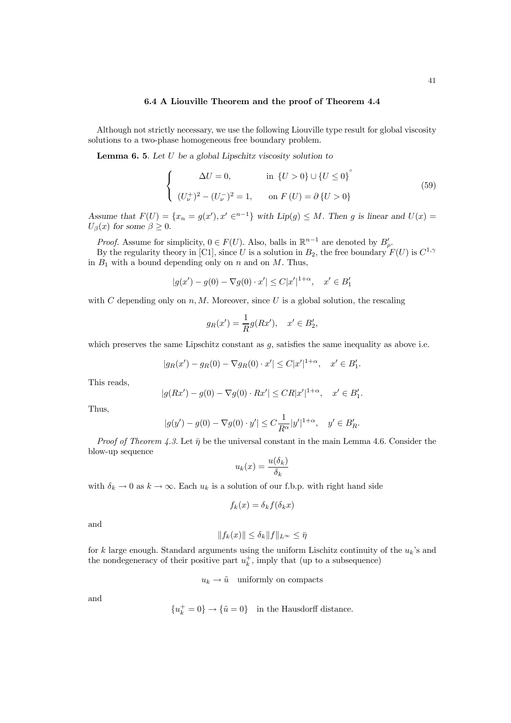Although not strictly necessary, we use the following Liouville type result for global viscosity solutions to a two-phase homogeneous free boundary problem.

**Lemma 6. 5.** Let  $U$  be a global Lipschitz viscosity solution to

$$
\begin{cases}\n\Delta U = 0, & \text{in } \{U > 0\} \cup \{U \le 0\}^{\circ} \\
(U_{\nu}^{+})^{2} - (U_{\nu}^{-})^{2} = 1, & \text{on } F(U) = \partial \{U > 0\}\n\end{cases}
$$
\n(59)

Assume that  $F(U) = \{x_n = g(x'), x' \in \{n-1\} \text{ with } Lip(g) \leq M$ . Then g is linear and  $U(x) =$  $U_{\beta}(x)$  for some  $\beta \geq 0$ .

*Proof.* Assume for simplicity,  $0 \in F(U)$ . Also, balls in  $\mathbb{R}^{n-1}$  are denoted by  $B'_{\rho}$ .

By the regularity theory in [C1], since U is a solution in  $B_2$ , the free boundary  $F(U)$  is  $C^{1,\gamma}$ in  $B_1$  with a bound depending only on n and on M. Thus,

$$
|g(x') - g(0) - \nabla g(0) \cdot x'| \le C|x'|^{1+\alpha}, \quad x' \in B'_1
$$

with C depending only on  $n, M$ . Moreover, since U is a global solution, the rescaling

$$
g_R(x') = \frac{1}{R}g(Rx'), \quad x' \in B_2',
$$

which preserves the same Lipschitz constant as  $g$ , satisfies the same inequality as above i.e.

$$
|g_R(x') - g_R(0) - \nabla g_R(0) \cdot x'| \le C |x'|^{1+\alpha}, \quad x' \in B'_1.
$$

This reads,

$$
|g(Rx')-g(0)-\nabla g(0)\cdot Rx'|\leq CR|x'|^{1+\alpha},\quad x'\in B'_1.
$$

Thus,

$$
|g(y') - g(0) - \nabla g(0) \cdot y'| \leq C \frac{1}{R^{\alpha}} |y'|^{1+\alpha}, \quad y' \in B_R'.
$$

Proof of Theorem 4.3. Let  $\bar{\eta}$  be the universal constant in the main Lemma 4.6. Consider the blow-up sequence

$$
u_k(x) = \frac{u(\delta_k)}{\delta_k}
$$

with  $\delta_k \to 0$  as  $k \to \infty$ . Each  $u_k$  is a solution of our f.b.p. with right hand side

$$
f_k(x) = \delta_k f(\delta_k x)
$$

and

$$
||f_k(x)|| \le \delta_k ||f||_{L^{\infty}} \le \bar{\eta}
$$

for k large enough. Standard arguments using the uniform Lischitz continuity of the  $u_k$ 's and the nondegeneracy of their positive part  $u_k^+$ , imply that (up to a subsequence)

 $u_k \to \tilde{u}$  uniformly on compacts

and

$$
\{u_k^+=0\}\to\{\tilde u=0\}\quad\text{in the Hausdorff distance}.
$$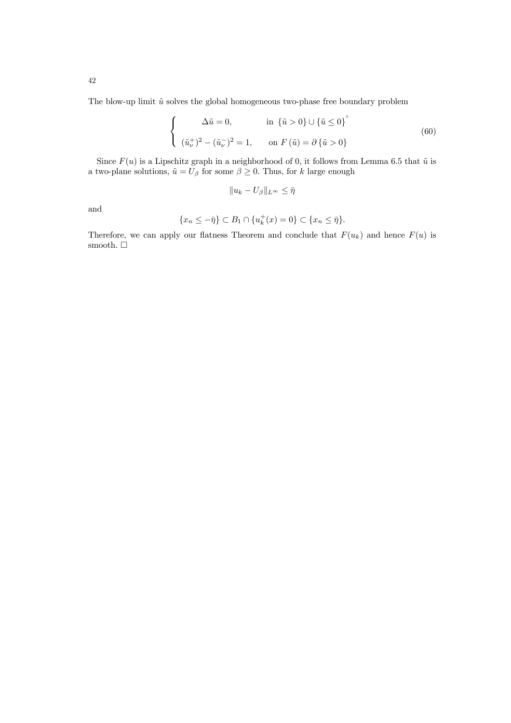The blow-up limit  $\tilde{u}$  solves the global homogeneous two-phase free boundary problem

$$
\begin{cases}\n\Delta \tilde{u} = 0, & \text{in } \{\tilde{u} > 0\} \cup \{\tilde{u} \le 0\}^{\circ} \\
(\tilde{u}_{\nu}^{+})^{2} - (\tilde{u}_{\nu}^{-})^{2} = 1, & \text{on } F(\tilde{u}) = \partial \{\tilde{u} > 0\}\n\end{cases}
$$
\n(60)

Since  $F(u)$  is a Lipschitz graph in a neighborhood of 0, it follows from Lemma 6.5 that  $\tilde{u}$  is a two-plane solutions,  $\tilde{u} = U_\beta$  for some  $\beta \geq 0.$  Thus, for  $k$  large enough

$$
||u_k - U_{\beta}||_{L^{\infty}} \leq \bar{\eta}
$$

and

$$
\{x_n \leq -\bar{\eta}\} \subset B_1 \cap \{u_k^+(x) = 0\} \subset \{x_n \leq \bar{\eta}\}.
$$

Therefore, we can apply our flatness Theorem and conclude that  $F(u_k)$  and hence  $F(u)$  is smooth.  $\Box$